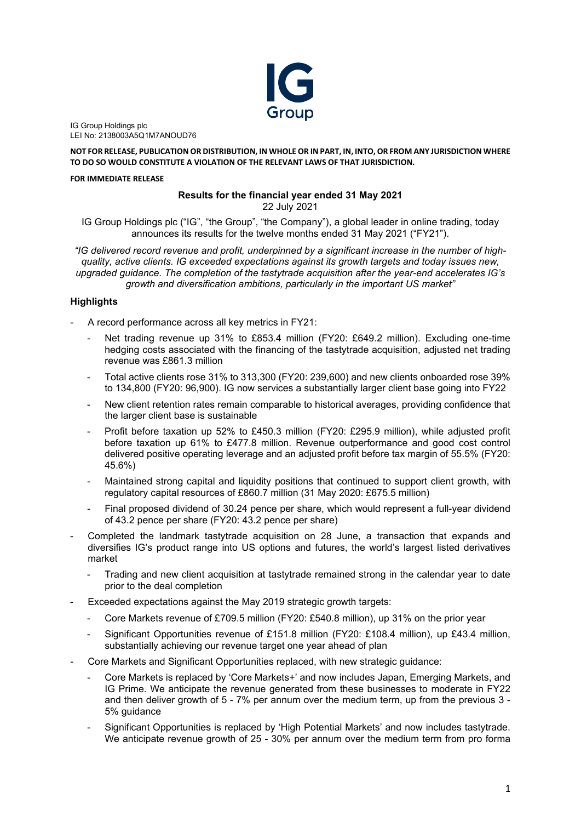

IG Group Holdings plc LEI No: 2138003A5Q1M7ANOUD76

**NOT FOR RELEASE, PUBLICATION OR DISTRIBUTION, IN WHOLE OR IN PART, IN, INTO, OR FROM ANY JURISDICTION WHERE TO DO SO WOULD CONSTITUTE A VIOLATION OF THE RELEVANT LAWS OF THAT JURISDICTION.**

### **FOR IMMEDIATE RELEASE**

### **Results for the financial year ended 31 May 2021** 22 July 2021

IG Group Holdings plc ("IG", "the Group", "the Company"), a global leader in online trading, today announces its results for the twelve months ended 31 May 2021 ("FY21").

*"IG delivered record revenue and profit, underpinned by a significant increase in the number of highquality, active clients. IG exceeded expectations against its growth targets and today issues new, upgraded guidance. The completion of the tastytrade acquisition after the year-end accelerates IG's growth and diversification ambitions, particularly in the important US market"*

## **Highlights**

- A record performance across all key metrics in FY21:
	- Net trading revenue up 31% to £853.4 million (FY20: £649.2 million). Excluding one-time hedging costs associated with the financing of the tastytrade acquisition, adjusted net trading revenue was £861.3 million
	- Total active clients rose 31% to 313,300 (FY20: 239,600) and new clients onboarded rose 39% to 134,800 (FY20: 96,900). IG now services a substantially larger client base going into FY22
	- New client retention rates remain comparable to historical averages, providing confidence that the larger client base is sustainable
	- Profit before taxation up 52% to £450.3 million (FY20: £295.9 million), while adjusted profit before taxation up 61% to £477.8 million. Revenue outperformance and good cost control delivered positive operating leverage and an adjusted profit before tax margin of 55.5% (FY20: 45.6%)
	- Maintained strong capital and liquidity positions that continued to support client growth, with regulatory capital resources of £860.7 million (31 May 2020: £675.5 million)
	- Final proposed dividend of 30.24 pence per share, which would represent a full-year dividend of 43.2 pence per share (FY20: 43.2 pence per share)
- Completed the landmark tastytrade acquisition on 28 June, a transaction that expands and diversifies IG's product range into US options and futures, the world's largest listed derivatives market
	- Trading and new client acquisition at tastytrade remained strong in the calendar year to date prior to the deal completion
- Exceeded expectations against the May 2019 strategic growth targets:
	- Core Markets revenue of £709.5 million (FY20: £540.8 million), up 31% on the prior year
	- Significant Opportunities revenue of £151.8 million (FY20: £108.4 million), up £43.4 million, substantially achieving our revenue target one year ahead of plan
- Core Markets and Significant Opportunities replaced, with new strategic guidance:
	- Core Markets is replaced by 'Core Markets+' and now includes Japan, Emerging Markets, and IG Prime. We anticipate the revenue generated from these businesses to moderate in FY22 and then deliver growth of 5 - 7% per annum over the medium term, up from the previous 3 - 5% guidance
	- Significant Opportunities is replaced by 'High Potential Markets' and now includes tastytrade. We anticipate revenue growth of 25 - 30% per annum over the medium term from pro forma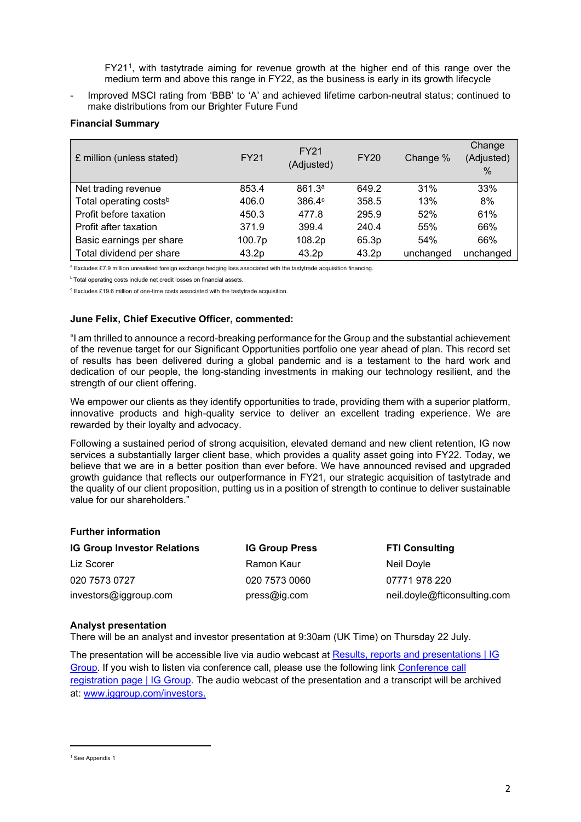FY21[1](#page-1-0), with tastytrade aiming for revenue growth at the higher end of this range over the medium term and above this range in FY22, as the business is early in its growth lifecycle

Improved MSCI rating from 'BBB' to 'A' and achieved lifetime carbon-neutral status; continued to make distributions from our Brighter Future Fund

## **Financial Summary**

| £ million (unless stated)          | <b>FY21</b> | <b>FY21</b><br>(Adjusted) | <b>FY20</b> | Change %  | Change<br>(Adjusted)<br>$\%$ |
|------------------------------------|-------------|---------------------------|-------------|-----------|------------------------------|
| Net trading revenue                | 853.4       | 861.3 <sup>a</sup>        | 649.2       | 31%       | 33%                          |
| Total operating costs <sup>b</sup> | 406.0       | $386.4^\circ$             | 358.5       | 13%       | 8%                           |
| Profit before taxation             | 450.3       | 477.8                     | 295.9       | 52%       | 61%                          |
| Profit after taxation              | 371.9       | 399.4                     | 240.4       | 55%       | 66%                          |
| Basic earnings per share           | 100.7p      | 108.2p                    | 65.3p       | 54%       | 66%                          |
| Total dividend per share           | 43.2p       | 43.2p                     | 43.2p       | unchanged | unchanged                    |

a Excludes £7.9 million unrealised foreign exchange hedging loss associated with the tastytrade acquisition financing.

**b** Total operating costs include net credit losses on financial assets.

<sup>c</sup> Excludes £19.6 million of one-time costs associated with the tastytrade acquisition.

## **June Felix, Chief Executive Officer, commented:**

"I am thrilled to announce a record-breaking performance for the Group and the substantial achievement of the revenue target for our Significant Opportunities portfolio one year ahead of plan. This record set of results has been delivered during a global pandemic and is a testament to the hard work and dedication of our people, the long-standing investments in making our technology resilient, and the strength of our client offering.

We empower our clients as they identify opportunities to trade, providing them with a superior platform, innovative products and high-quality service to deliver an excellent trading experience. We are rewarded by their loyalty and advocacy.

Following a sustained period of strong acquisition, elevated demand and new client retention, IG now services a substantially larger client base, which provides a quality asset going into FY22. Today, we believe that we are in a better position than ever before. We have announced revised and upgraded growth guidance that reflects our outperformance in FY21, our strategic acquisition of tastytrade and the quality of our client proposition, putting us in a position of strength to continue to deliver sustainable value for our shareholders."

### **Further information**

| <b>IG Group Investor Relations</b> | <b>IG Group Press</b> | <b>FTI Consulting</b>        |
|------------------------------------|-----------------------|------------------------------|
| Liz Scorer                         | Ramon Kaur            | Neil Doyle                   |
| 020 7573 0727                      | 020 7573 0060         | 07771978220                  |
| investors@iggroup.com              | pres@iq.com           | neil.doyle@fticonsulting.com |

### **Analyst presentation**

There will be an analyst and investor presentation at 9:30am (UK Time) on Thursday 22 July.

The presentation will be accessible live via audio webcast at [Results, reports and presentations | IG](https://eur01.safelinks.protection.outlook.com/?url=https%3A%2F%2Fpres.iggroup.com%2Fevent%2Fdefault1.php%3Feventid%3D2171%26media%3Dflash&data=04%7C01%7CSimon.Wright%40ig.com%7C4a7fa648a974484baf6b08d9487c340a%7C4b4cca9cedaf42f38e219070c5d9d76b%7C0%7C0%7C637620520558081361%7CUnknown%7CTWFpbGZsb3d8eyJWIjoiMC4wLjAwMDAiLCJQIjoiV2luMzIiLCJBTiI6Ik1haWwiLCJXVCI6Mn0%3D%7C1000&sdata=d%2BRgfEk5RPVlY%2F1G5sxliD3RW4IWuzB0Ld2gYs5hPMU%3D&reserved=0)  [Group.](https://eur01.safelinks.protection.outlook.com/?url=https%3A%2F%2Fpres.iggroup.com%2Fevent%2Fdefault1.php%3Feventid%3D2171%26media%3Dflash&data=04%7C01%7CSimon.Wright%40ig.com%7C4a7fa648a974484baf6b08d9487c340a%7C4b4cca9cedaf42f38e219070c5d9d76b%7C0%7C0%7C637620520558081361%7CUnknown%7CTWFpbGZsb3d8eyJWIjoiMC4wLjAwMDAiLCJQIjoiV2luMzIiLCJBTiI6Ik1haWwiLCJXVCI6Mn0%3D%7C1000&sdata=d%2BRgfEk5RPVlY%2F1G5sxliD3RW4IWuzB0Ld2gYs5hPMU%3D&reserved=0) If you wish to listen via conference call, please use the following link [Conference call](https://eur01.safelinks.protection.outlook.com/?url=https%3A%2F%2Fservices.choruscall.it%2FDiamondPassRegistration%2Fregister%3FconfirmationNumber%3D2842474%26linkSecurityString%3D254349216&data=04%7C01%7CSimon.Wright%40ig.com%7C4a7fa648a974484baf6b08d9487c340a%7C4b4cca9cedaf42f38e219070c5d9d76b%7C0%7C0%7C637620520558091320%7CUnknown%7CTWFpbGZsb3d8eyJWIjoiMC4wLjAwMDAiLCJQIjoiV2luMzIiLCJBTiI6Ik1haWwiLCJXVCI6Mn0%3D%7C1000&sdata=lKaq2CeUC2Y6zGyk%2BNTS67x8P4xagRG1AsQgUFN8xG4%3D&reserved=0)  [registration page | IG Group.](https://eur01.safelinks.protection.outlook.com/?url=https%3A%2F%2Fservices.choruscall.it%2FDiamondPassRegistration%2Fregister%3FconfirmationNumber%3D2842474%26linkSecurityString%3D254349216&data=04%7C01%7CSimon.Wright%40ig.com%7C4a7fa648a974484baf6b08d9487c340a%7C4b4cca9cedaf42f38e219070c5d9d76b%7C0%7C0%7C637620520558091320%7CUnknown%7CTWFpbGZsb3d8eyJWIjoiMC4wLjAwMDAiLCJQIjoiV2luMzIiLCJBTiI6Ik1haWwiLCJXVCI6Mn0%3D%7C1000&sdata=lKaq2CeUC2Y6zGyk%2BNTS67x8P4xagRG1AsQgUFN8xG4%3D&reserved=0) The audio webcast of the presentation and a transcript will be archived at: [www.iggroup.com/investors.](http://www.iggroup.com/investors)

<span id="page-1-0"></span><sup>&</sup>lt;sup>1</sup> See Appendix 1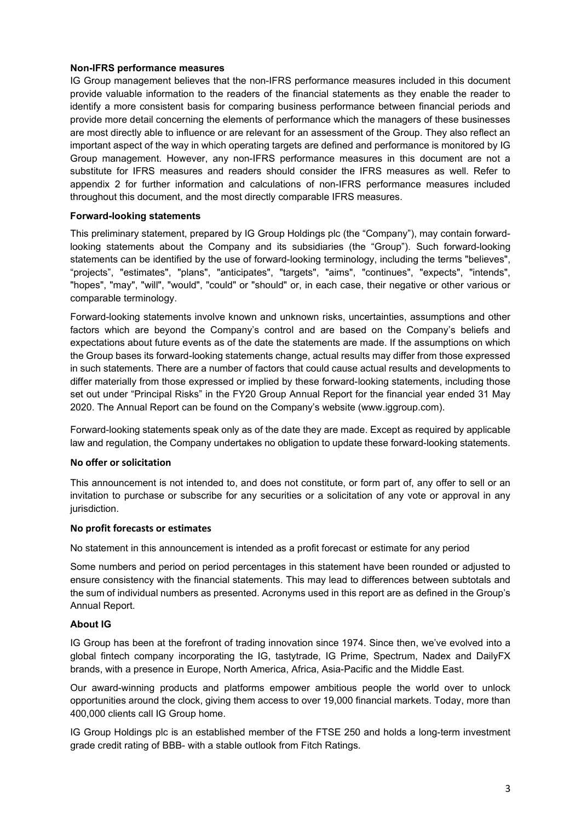## **Non-IFRS performance measures**

IG Group management believes that the non-IFRS performance measures included in this document provide valuable information to the readers of the financial statements as they enable the reader to identify a more consistent basis for comparing business performance between financial periods and provide more detail concerning the elements of performance which the managers of these businesses are most directly able to influence or are relevant for an assessment of the Group. They also reflect an important aspect of the way in which operating targets are defined and performance is monitored by IG Group management. However, any non-IFRS performance measures in this document are not a substitute for IFRS measures and readers should consider the IFRS measures as well. Refer to appendix 2 for further information and calculations of non-IFRS performance measures included throughout this document, and the most directly comparable IFRS measures.

## **Forward-looking statements**

This preliminary statement, prepared by IG Group Holdings plc (the "Company"), may contain forwardlooking statements about the Company and its subsidiaries (the "Group"). Such forward-looking statements can be identified by the use of forward-looking terminology, including the terms "believes", "projects", "estimates", "plans", "anticipates", "targets", "aims", "continues", "expects", "intends", "hopes", "may", "will", "would", "could" or "should" or, in each case, their negative or other various or comparable terminology.

Forward-looking statements involve known and unknown risks, uncertainties, assumptions and other factors which are beyond the Company's control and are based on the Company's beliefs and expectations about future events as of the date the statements are made. If the assumptions on which the Group bases its forward-looking statements change, actual results may differ from those expressed in such statements. There are a number of factors that could cause actual results and developments to differ materially from those expressed or implied by these forward-looking statements, including those set out under "Principal Risks" in the FY20 Group Annual Report for the financial year ended 31 May 2020. The Annual Report can be found on the Company's website (www.iggroup.com).

Forward-looking statements speak only as of the date they are made. Except as required by applicable law and regulation, the Company undertakes no obligation to update these forward-looking statements.

### **No offer or solicitation**

This announcement is not intended to, and does not constitute, or form part of, any offer to sell or an invitation to purchase or subscribe for any securities or a solicitation of any vote or approval in any jurisdiction.

### **No profit forecasts or estimates**

No statement in this announcement is intended as a profit forecast or estimate for any period

Some numbers and period on period percentages in this statement have been rounded or adjusted to ensure consistency with the financial statements. This may lead to differences between subtotals and the sum of individual numbers as presented. Acronyms used in this report are as defined in the Group's Annual Report.

## **About IG**

IG Group has been at the forefront of trading innovation since 1974. Since then, we've evolved into a global fintech company incorporating the IG, tastytrade, IG Prime, Spectrum, Nadex and DailyFX brands, with a presence in Europe, North America, Africa, Asia-Pacific and the Middle East.

Our award-winning products and platforms empower ambitious people the world over to unlock opportunities around the clock, giving them access to over 19,000 financial markets. Today, more than 400,000 clients call IG Group home.

IG Group Holdings plc is an established member of the FTSE 250 and holds a long-term investment grade credit rating of BBB- with a stable outlook from Fitch Ratings.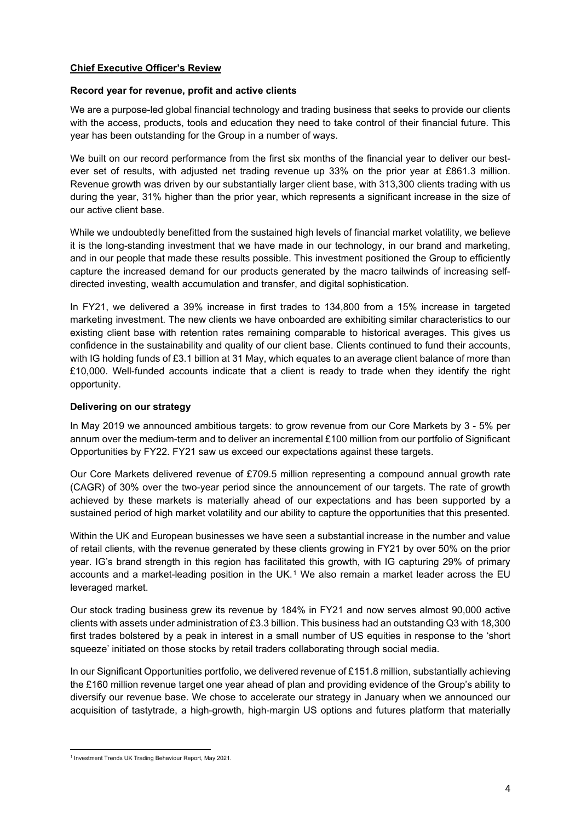## **Chief Executive Officer's Review**

## **Record year for revenue, profit and active clients**

We are a purpose-led global financial technology and trading business that seeks to provide our clients with the access, products, tools and education they need to take control of their financial future. This year has been outstanding for the Group in a number of ways.

We built on our record performance from the first six months of the financial year to deliver our bestever set of results, with adjusted net trading revenue up 33% on the prior year at £861.3 million. Revenue growth was driven by our substantially larger client base, with 313,300 clients trading with us during the year, 31% higher than the prior year, which represents a significant increase in the size of our active client base.

While we undoubtedly benefitted from the sustained high levels of financial market volatility, we believe it is the long-standing investment that we have made in our technology, in our brand and marketing, and in our people that made these results possible. This investment positioned the Group to efficiently capture the increased demand for our products generated by the macro tailwinds of increasing selfdirected investing, wealth accumulation and transfer, and digital sophistication.

In FY21, we delivered a 39% increase in first trades to 134,800 from a 15% increase in targeted marketing investment. The new clients we have onboarded are exhibiting similar characteristics to our existing client base with retention rates remaining comparable to historical averages. This gives us confidence in the sustainability and quality of our client base. Clients continued to fund their accounts, with IG holding funds of £3.1 billion at 31 May, which equates to an average client balance of more than £10,000. Well-funded accounts indicate that a client is ready to trade when they identify the right opportunity.

## **Delivering on our strategy**

In May 2019 we announced ambitious targets: to grow revenue from our Core Markets by 3 - 5% per annum over the medium-term and to deliver an incremental £100 million from our portfolio of Significant Opportunities by FY22. FY21 saw us exceed our expectations against these targets.

Our Core Markets delivered revenue of £709.5 million representing a compound annual growth rate (CAGR) of 30% over the two-year period since the announcement of our targets. The rate of growth achieved by these markets is materially ahead of our expectations and has been supported by a sustained period of high market volatility and our ability to capture the opportunities that this presented.

Within the UK and European businesses we have seen a substantial increase in the number and value of retail clients, with the revenue generated by these clients growing in FY21 by over 50% on the prior year. IG's brand strength in this region has facilitated this growth, with IG capturing 29% of primary accounts and a market-leading position in the UK.<sup>[1](#page-3-0)</sup> We also remain a market leader across the EU leveraged market.

Our stock trading business grew its revenue by 184% in FY21 and now serves almost 90,000 active clients with assets under administration of £3.3 billion. This business had an outstanding Q3 with 18,300 first trades bolstered by a peak in interest in a small number of US equities in response to the 'short squeeze' initiated on those stocks by retail traders collaborating through social media.

In our Significant Opportunities portfolio, we delivered revenue of £151.8 million, substantially achieving the £160 million revenue target one year ahead of plan and providing evidence of the Group's ability to diversify our revenue base. We chose to accelerate our strategy in January when we announced our acquisition of tastytrade, a high-growth, high-margin US options and futures platform that materially

<span id="page-3-0"></span><sup>1</sup> Investment Trends UK Trading Behaviour Report, May 2021.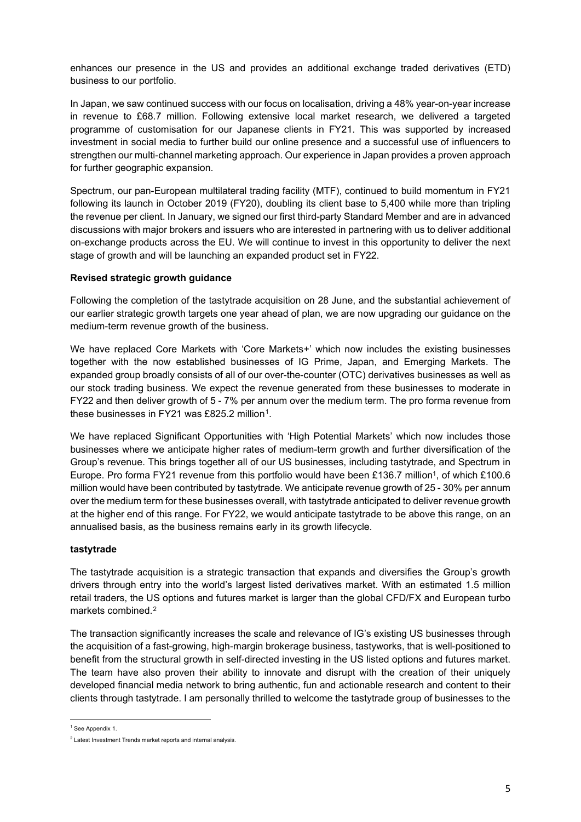enhances our presence in the US and provides an additional exchange traded derivatives (ETD) business to our portfolio.

In Japan, we saw continued success with our focus on localisation, driving a 48% year-on-year increase in revenue to £68.7 million. Following extensive local market research, we delivered a targeted programme of customisation for our Japanese clients in FY21. This was supported by increased investment in social media to further build our online presence and a successful use of influencers to strengthen our multi-channel marketing approach. Our experience in Japan provides a proven approach for further geographic expansion.

Spectrum, our pan-European multilateral trading facility (MTF), continued to build momentum in FY21 following its launch in October 2019 (FY20), doubling its client base to 5,400 while more than tripling the revenue per client. In January, we signed our first third-party Standard Member and are in advanced discussions with major brokers and issuers who are interested in partnering with us to deliver additional on-exchange products across the EU. We will continue to invest in this opportunity to deliver the next stage of growth and will be launching an expanded product set in FY22.

## **Revised strategic growth guidance**

Following the completion of the tastytrade acquisition on 28 June, and the substantial achievement of our earlier strategic growth targets one year ahead of plan, we are now upgrading our guidance on the medium-term revenue growth of the business.

We have replaced Core Markets with 'Core Markets+' which now includes the existing businesses together with the now established businesses of IG Prime, Japan, and Emerging Markets. The expanded group broadly consists of all of our over-the-counter (OTC) derivatives businesses as well as our stock trading business. We expect the revenue generated from these businesses to moderate in FY22 and then deliver growth of 5 - 7% per annum over the medium term. The pro forma revenue from these businesses in FY21 was £825.2 million<sup>1</sup>.

We have replaced Significant Opportunities with 'High Potential Markets' which now includes those businesses where we anticipate higher rates of medium-term growth and further diversification of the Group's revenue. This brings together all of our US businesses, including tastytrade, and Spectrum in Europe. Pro forma FY21 revenue from this portfolio would have been £136.7 million<sup>1</sup>, of which £100.6 million would have been contributed by tastytrade. We anticipate revenue growth of 25 - 30% per annum over the medium term for these businesses overall, with tastytrade anticipated to deliver revenue growth at the higher end of this range. For FY22, we would anticipate tastytrade to be above this range, on an annualised basis, as the business remains early in its growth lifecycle.

## **tastytrade**

The tastytrade acquisition is a strategic transaction that expands and diversifies the Group's growth drivers through entry into the world's largest listed derivatives market. With an estimated 1.5 million retail traders, the US options and futures market is larger than the global CFD/FX and European turbo markets combined.[2](#page-4-1)

The transaction significantly increases the scale and relevance of IG's existing US businesses through the acquisition of a fast-growing, high-margin brokerage business, tastyworks, that is well-positioned to benefit from the structural growth in self-directed investing in the US listed options and futures market. The team have also proven their ability to innovate and disrupt with the creation of their uniquely developed financial media network to bring authentic, fun and actionable research and content to their clients through tastytrade. I am personally thrilled to welcome the tastytrade group of businesses to the

<span id="page-4-0"></span><sup>&</sup>lt;sup>1</sup> See Appendix 1.

<span id="page-4-1"></span><sup>2</sup> Latest Investment Trends market reports and internal analysis.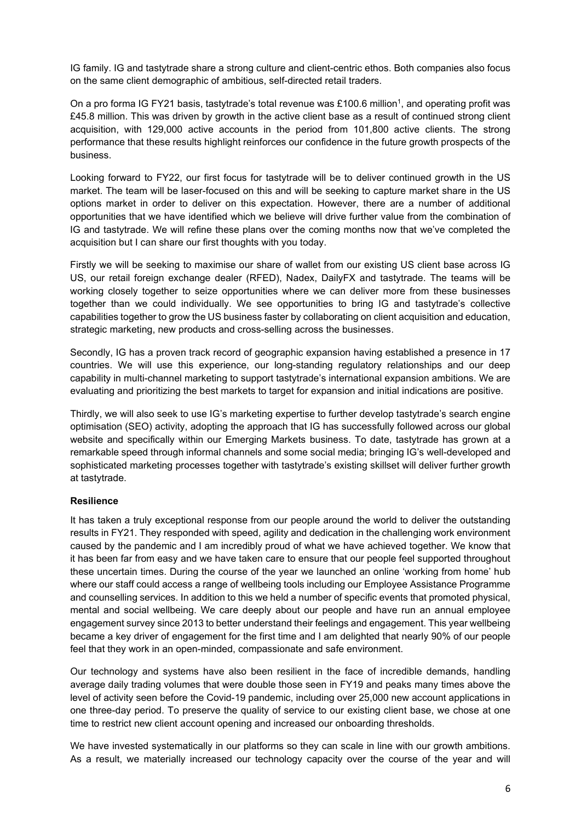IG family. IG and tastytrade share a strong culture and client-centric ethos. Both companies also focus on the same client demographic of ambitious, self-directed retail traders.

On a pro forma IG FY21 basis, tastytrade's total revenue was £100.6 million<sup>1</sup>, and operating profit was £45.8 million. This was driven by growth in the active client base as a result of continued strong client acquisition, with 129,000 active accounts in the period from 101,800 active clients. The strong performance that these results highlight reinforces our confidence in the future growth prospects of the business.

Looking forward to FY22, our first focus for tastytrade will be to deliver continued growth in the US market. The team will be laser-focused on this and will be seeking to capture market share in the US options market in order to deliver on this expectation. However, there are a number of additional opportunities that we have identified which we believe will drive further value from the combination of IG and tastytrade. We will refine these plans over the coming months now that we've completed the acquisition but I can share our first thoughts with you today.

Firstly we will be seeking to maximise our share of wallet from our existing US client base across IG US, our retail foreign exchange dealer (RFED), Nadex, DailyFX and tastytrade. The teams will be working closely together to seize opportunities where we can deliver more from these businesses together than we could individually. We see opportunities to bring IG and tastytrade's collective capabilities together to grow the US business faster by collaborating on client acquisition and education, strategic marketing, new products and cross-selling across the businesses.

Secondly, IG has a proven track record of geographic expansion having established a presence in 17 countries. We will use this experience, our long-standing regulatory relationships and our deep capability in multi-channel marketing to support tastytrade's international expansion ambitions. We are evaluating and prioritizing the best markets to target for expansion and initial indications are positive.

Thirdly, we will also seek to use IG's marketing expertise to further develop tastytrade's search engine optimisation (SEO) activity, adopting the approach that IG has successfully followed across our global website and specifically within our Emerging Markets business. To date, tastytrade has grown at a remarkable speed through informal channels and some social media; bringing IG's well-developed and sophisticated marketing processes together with tastytrade's existing skillset will deliver further growth at tastytrade.

## **Resilience**

It has taken a truly exceptional response from our people around the world to deliver the outstanding results in FY21. They responded with speed, agility and dedication in the challenging work environment caused by the pandemic and I am incredibly proud of what we have achieved together. We know that it has been far from easy and we have taken care to ensure that our people feel supported throughout these uncertain times. During the course of the year we launched an online 'working from home' hub where our staff could access a range of wellbeing tools including our Employee Assistance Programme and counselling services. In addition to this we held a number of specific events that promoted physical, mental and social wellbeing. We care deeply about our people and have run an annual employee engagement survey since 2013 to better understand their feelings and engagement. This year wellbeing became a key driver of engagement for the first time and I am delighted that nearly 90% of our people feel that they work in an open-minded, compassionate and safe environment.

Our technology and systems have also been resilient in the face of incredible demands, handling average daily trading volumes that were double those seen in FY19 and peaks many times above the level of activity seen before the Covid-19 pandemic, including over 25,000 new account applications in one three-day period. To preserve the quality of service to our existing client base, we chose at one time to restrict new client account opening and increased our onboarding thresholds.

We have invested systematically in our platforms so they can scale in line with our growth ambitions. As a result, we materially increased our technology capacity over the course of the year and will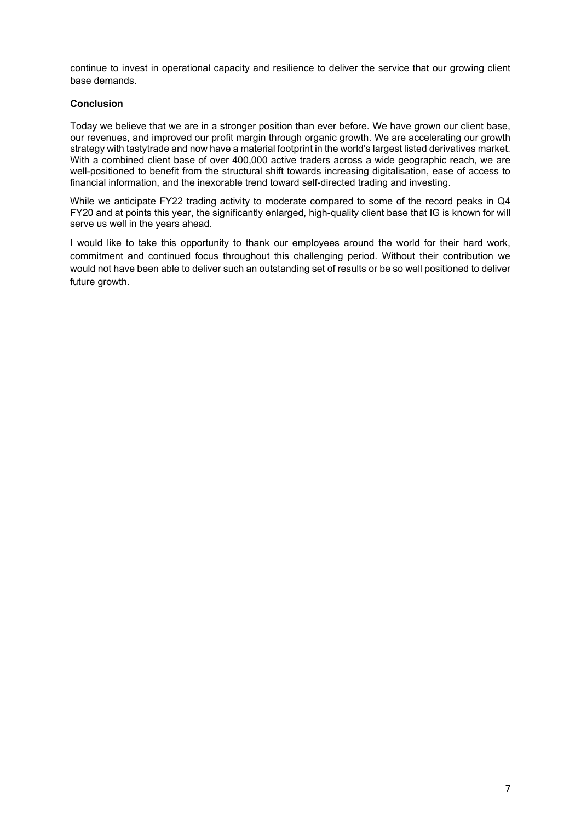continue to invest in operational capacity and resilience to deliver the service that our growing client base demands.

## **Conclusion**

Today we believe that we are in a stronger position than ever before. We have grown our client base, our revenues, and improved our profit margin through organic growth. We are accelerating our growth strategy with tastytrade and now have a material footprint in the world's largest listed derivatives market. With a combined client base of over 400,000 active traders across a wide geographic reach, we are well-positioned to benefit from the structural shift towards increasing digitalisation, ease of access to financial information, and the inexorable trend toward self-directed trading and investing.

While we anticipate FY22 trading activity to moderate compared to some of the record peaks in Q4 FY20 and at points this year, the significantly enlarged, high-quality client base that IG is known for will serve us well in the years ahead.

I would like to take this opportunity to thank our employees around the world for their hard work, commitment and continued focus throughout this challenging period. Without their contribution we would not have been able to deliver such an outstanding set of results or be so well positioned to deliver future growth.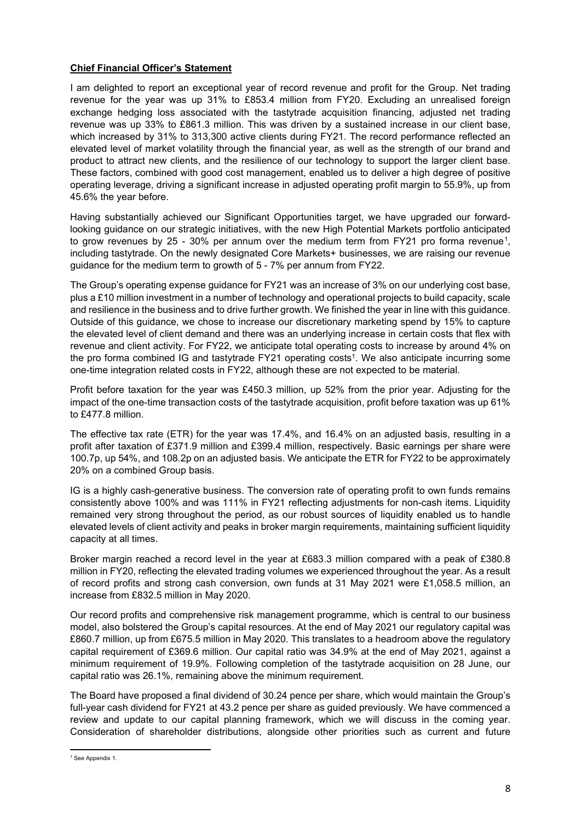## **Chief Financial Officer's Statement**

I am delighted to report an exceptional year of record revenue and profit for the Group. Net trading revenue for the year was up 31% to £853.4 million from FY20. Excluding an unrealised foreign exchange hedging loss associated with the tastytrade acquisition financing, adjusted net trading revenue was up 33% to £861.3 million. This was driven by a sustained increase in our client base, which increased by 31% to 313,300 active clients during FY21. The record performance reflected an elevated level of market volatility through the financial year, as well as the strength of our brand and product to attract new clients, and the resilience of our technology to support the larger client base. These factors, combined with good cost management, enabled us to deliver a high degree of positive operating leverage, driving a significant increase in adjusted operating profit margin to 55.9%, up from 45.6% the year before.

Having substantially achieved our Significant Opportunities target, we have upgraded our forwardlooking guidance on our strategic initiatives, with the new High Potential Markets portfolio anticipated to grow revenues by 25 - 30% per annum over the medium term from FY21 pro forma revenue<sup>1</sup>, including tastytrade. On the newly designated Core Markets+ businesses, we are raising our revenue guidance for the medium term to growth of 5 - 7% per annum from FY22.

The Group's operating expense guidance for FY21 was an increase of 3% on our underlying cost base, plus a £10 million investment in a number of technology and operational projects to build capacity, scale and resilience in the business and to drive further growth. We finished the year in line with this guidance. Outside of this guidance, we chose to increase our discretionary marketing spend by 15% to capture the elevated level of client demand and there was an underlying increase in certain costs that flex with revenue and client activity. For FY22, we anticipate total operating costs to increase by around 4% on the pro forma combined IG and tastytrade FY21 operating costs<sup>1</sup>. We also anticipate incurring some one-time integration related costs in FY22, although these are not expected to be material.

Profit before taxation for the year was £450.3 million, up 52% from the prior year. Adjusting for the impact of the one-time transaction costs of the tastytrade acquisition, profit before taxation was up 61% to £477.8 million.

The effective tax rate (ETR) for the year was 17.4%, and 16.4% on an adjusted basis, resulting in a profit after taxation of £371.9 million and £399.4 million, respectively. Basic earnings per share were 100.7p, up 54%, and 108.2p on an adjusted basis. We anticipate the ETR for FY22 to be approximately 20% on a combined Group basis.

IG is a highly cash-generative business. The conversion rate of operating profit to own funds remains consistently above 100% and was 111% in FY21 reflecting adjustments for non-cash items. Liquidity remained very strong throughout the period, as our robust sources of liquidity enabled us to handle elevated levels of client activity and peaks in broker margin requirements, maintaining sufficient liquidity capacity at all times.

Broker margin reached a record level in the year at £683.3 million compared with a peak of £380.8 million in FY20, reflecting the elevated trading volumes we experienced throughout the year. As a result of record profits and strong cash conversion, own funds at 31 May 2021 were £1,058.5 million, an increase from £832.5 million in May 2020.

Our record profits and comprehensive risk management programme, which is central to our business model, also bolstered the Group's capital resources. At the end of May 2021 our regulatory capital was £860.7 million, up from £675.5 million in May 2020. This translates to a headroom above the regulatory capital requirement of £369.6 million. Our capital ratio was 34.9% at the end of May 2021, against a minimum requirement of 19.9%. Following completion of the tastytrade acquisition on 28 June, our capital ratio was 26.1%, remaining above the minimum requirement.

The Board have proposed a final dividend of 30.24 pence per share, which would maintain the Group's full-year cash dividend for FY21 at 43.2 pence per share as guided previously. We have commenced a review and update to our capital planning framework, which we will discuss in the coming year. Consideration of shareholder distributions, alongside other priorities such as current and future

<span id="page-7-0"></span><sup>&</sup>lt;sup>1</sup> See Appendix 1.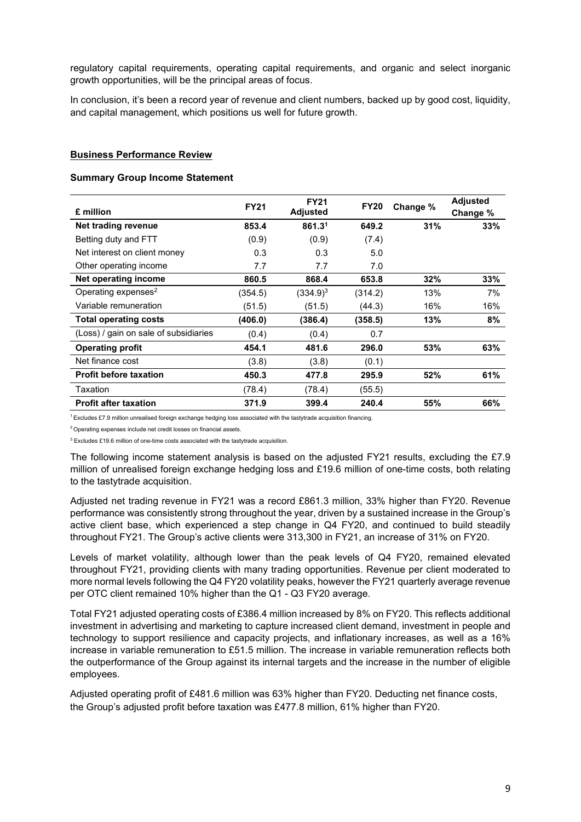regulatory capital requirements, operating capital requirements, and organic and select inorganic growth opportunities, will be the principal areas of focus.

In conclusion, it's been a record year of revenue and client numbers, backed up by good cost, liquidity, and capital management, which positions us well for future growth.

## **Business Performance Review**

### **Summary Group Income Statement**

| £ million                             | <b>FY21</b> | <b>FY21</b><br><b>Adjusted</b> | <b>FY20</b> | Change % | <b>Adjusted</b><br>Change % |
|---------------------------------------|-------------|--------------------------------|-------------|----------|-----------------------------|
| Net trading revenue                   | 853.4       | 861.3 <sup>1</sup>             | 649.2       | 31%      | 33%                         |
| Betting duty and FTT                  | (0.9)       | (0.9)                          | (7.4)       |          |                             |
| Net interest on client money          | 0.3         | 0.3                            | 5.0         |          |                             |
| Other operating income                | 7.7         | 7.7                            | 7.0         |          |                             |
| Net operating income                  | 860.5       | 868.4                          | 653.8       | 32%      | 33%                         |
| Operating expenses <sup>2</sup>       | (354.5)     | (334.9) <sup>3</sup>           | (314.2)     | 13%      | 7%                          |
| Variable remuneration                 | (51.5)      | (51.5)                         | (44.3)      | 16%      | 16%                         |
| <b>Total operating costs</b>          | (406.0)     | (386.4)                        | (358.5)     | 13%      | 8%                          |
| (Loss) / gain on sale of subsidiaries | (0.4)       | (0.4)                          | 0.7         |          |                             |
| <b>Operating profit</b>               | 454.1       | 481.6                          | 296.0       | 53%      | 63%                         |
| Net finance cost                      | (3.8)       | (3.8)                          | (0.1)       |          |                             |
| <b>Profit before taxation</b>         | 450.3       | 477.8                          | 295.9       | 52%      | 61%                         |
| Taxation                              | (78.4)      | (78.4)                         | (55.5)      |          |                             |
| <b>Profit after taxation</b>          | 371.9       | 399.4                          | 240.4       | 55%      | 66%                         |

 $1$  Excludes £7.9 million unrealised foreign exchange hedging loss associated with the tastytrade acquisition financing.

 $2$  Operating expenses include net credit losses on financial assets.

<sup>3</sup> Excludes £19.6 million of one-time costs associated with the tastytrade acquisition.

The following income statement analysis is based on the adjusted FY21 results, excluding the £7.9 million of unrealised foreign exchange hedging loss and £19.6 million of one-time costs, both relating to the tastytrade acquisition.

Adjusted net trading revenue in FY21 was a record £861.3 million, 33% higher than FY20. Revenue performance was consistently strong throughout the year, driven by a sustained increase in the Group's active client base, which experienced a step change in Q4 FY20, and continued to build steadily throughout FY21. The Group's active clients were 313,300 in FY21, an increase of 31% on FY20.

Levels of market volatility, although lower than the peak levels of Q4 FY20, remained elevated throughout FY21, providing clients with many trading opportunities. Revenue per client moderated to more normal levels following the Q4 FY20 volatility peaks, however the FY21 quarterly average revenue per OTC client remained 10% higher than the Q1 - Q3 FY20 average.

Total FY21 adjusted operating costs of £386.4 million increased by 8% on FY20. This reflects additional investment in advertising and marketing to capture increased client demand, investment in people and technology to support resilience and capacity projects, and inflationary increases, as well as a 16% increase in variable remuneration to £51.5 million. The increase in variable remuneration reflects both the outperformance of the Group against its internal targets and the increase in the number of eligible employees.

Adjusted operating profit of £481.6 million was 63% higher than FY20. Deducting net finance costs, the Group's adjusted profit before taxation was £477.8 million, 61% higher than FY20.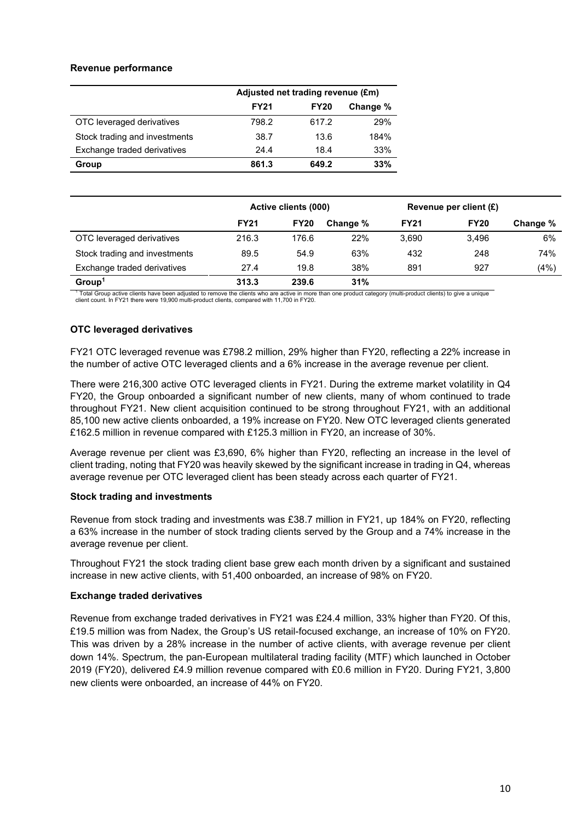## **Revenue performance**

|                               | Adjusted net trading revenue (£m) |             |          |  |
|-------------------------------|-----------------------------------|-------------|----------|--|
|                               | <b>FY21</b>                       | <b>FY20</b> | Change % |  |
| OTC leveraged derivatives     | 798.2                             | 617.2       | 29%      |  |
| Stock trading and investments | 38.7                              | 13.6        | 184%     |  |
| Exchange traded derivatives   | 24.4                              | 18.4        | 33%      |  |
| Group                         | 861.3                             | 649.2       | 33%      |  |

|                               | Active clients (000) |             |          |             | Revenue per client $(E)$ |          |
|-------------------------------|----------------------|-------------|----------|-------------|--------------------------|----------|
|                               | <b>FY21</b>          | <b>FY20</b> | Change % | <b>FY21</b> | <b>FY20</b>              | Change % |
| OTC leveraged derivatives     | 216.3                | 176.6       | 22%      | 3,690       | 3.496                    | 6%       |
| Stock trading and investments | 89.5                 | 54.9        | 63%      | 432         | 248                      | 74%      |
| Exchange traded derivatives   | 27.4                 | 19.8        | 38%      | 891         | 927                      | (4%)     |
| Group <sup>1</sup>            | 313.3                | 239.6       | 31%      |             |                          |          |

<sup>1</sup> Total Group active clients have been adjusted to remove the clients who are active in more than one product category (multi-product clients) to give a unique client count. In FY21 there were 19,900 multi-product clients, compared with 11,700 in FY20.

## **OTC leveraged derivatives**

FY21 OTC leveraged revenue was £798.2 million, 29% higher than FY20, reflecting a 22% increase in the number of active OTC leveraged clients and a 6% increase in the average revenue per client.

There were 216,300 active OTC leveraged clients in FY21. During the extreme market volatility in Q4 FY20, the Group onboarded a significant number of new clients, many of whom continued to trade throughout FY21. New client acquisition continued to be strong throughout FY21, with an additional 85,100 new active clients onboarded, a 19% increase on FY20. New OTC leveraged clients generated £162.5 million in revenue compared with £125.3 million in FY20, an increase of 30%.

Average revenue per client was £3,690, 6% higher than FY20, reflecting an increase in the level of client trading, noting that FY20 was heavily skewed by the significant increase in trading in Q4, whereas average revenue per OTC leveraged client has been steady across each quarter of FY21.

## **Stock trading and investments**

Revenue from stock trading and investments was £38.7 million in FY21, up 184% on FY20, reflecting a 63% increase in the number of stock trading clients served by the Group and a 74% increase in the average revenue per client.

Throughout FY21 the stock trading client base grew each month driven by a significant and sustained increase in new active clients, with 51,400 onboarded, an increase of 98% on FY20.

## **Exchange traded derivatives**

Revenue from exchange traded derivatives in FY21 was £24.4 million, 33% higher than FY20. Of this, £19.5 million was from Nadex, the Group's US retail-focused exchange, an increase of 10% on FY20. This was driven by a 28% increase in the number of active clients, with average revenue per client down 14%. Spectrum, the pan-European multilateral trading facility (MTF) which launched in October 2019 (FY20), delivered £4.9 million revenue compared with £0.6 million in FY20. During FY21, 3,800 new clients were onboarded, an increase of 44% on FY20.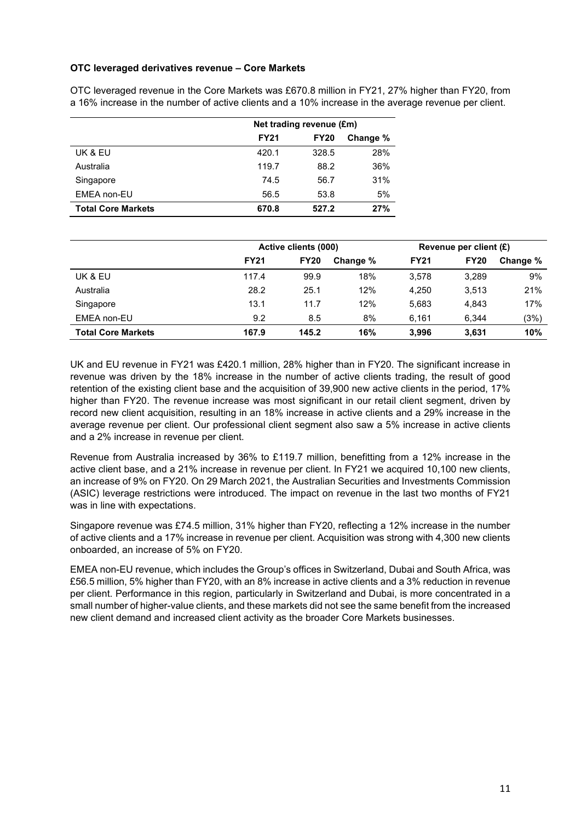## **OTC leveraged derivatives revenue – Core Markets**

|                           | Net trading revenue (£m) |             |          |  |
|---------------------------|--------------------------|-------------|----------|--|
|                           | <b>FY21</b>              | <b>FY20</b> | Change % |  |
| UK & EU                   | 420.1                    | 328.5       | 28%      |  |
| Australia                 | 119.7                    | 88.2        | 36%      |  |
| Singapore                 | 74.5                     | 56.7        | 31%      |  |
| EMEA non-EU               | 56.5                     | 53.8        | 5%       |  |
| <b>Total Core Markets</b> | 670.8                    | 527.2       | 27%      |  |

OTC leveraged revenue in the Core Markets was £670.8 million in FY21, 27% higher than FY20, from a 16% increase in the number of active clients and a 10% increase in the average revenue per client.

|                           |             | Active clients (000) |          |             | Revenue per client (£) |          |  |
|---------------------------|-------------|----------------------|----------|-------------|------------------------|----------|--|
|                           | <b>FY21</b> | <b>FY20</b>          | Change % | <b>FY21</b> | <b>FY20</b>            | Change % |  |
| UK & EU                   | 117.4       | 99.9                 | 18%      | 3.578       | 3.289                  | 9%       |  |
| Australia                 | 28.2        | 25.1                 | 12%      | 4.250       | 3,513                  | 21%      |  |
| Singapore                 | 13.1        | 11.7                 | 12%      | 5.683       | 4.843                  | 17%      |  |
| EMEA non-EU               | 9.2         | 8.5                  | 8%       | 6.161       | 6.344                  | (3%)     |  |
| <b>Total Core Markets</b> | 167.9       | 145.2                | 16%      | 3,996       | 3.631                  | 10%      |  |

UK and EU revenue in FY21 was £420.1 million, 28% higher than in FY20. The significant increase in revenue was driven by the 18% increase in the number of active clients trading, the result of good retention of the existing client base and the acquisition of 39,900 new active clients in the period, 17% higher than FY20. The revenue increase was most significant in our retail client segment, driven by record new client acquisition, resulting in an 18% increase in active clients and a 29% increase in the average revenue per client. Our professional client segment also saw a 5% increase in active clients and a 2% increase in revenue per client.

Revenue from Australia increased by 36% to £119.7 million, benefitting from a 12% increase in the active client base, and a 21% increase in revenue per client. In FY21 we acquired 10,100 new clients, an increase of 9% on FY20. On 29 March 2021, the Australian Securities and Investments Commission (ASIC) leverage restrictions were introduced. The impact on revenue in the last two months of FY21 was in line with expectations.

Singapore revenue was £74.5 million, 31% higher than FY20, reflecting a 12% increase in the number of active clients and a 17% increase in revenue per client. Acquisition was strong with 4,300 new clients onboarded, an increase of 5% on FY20.

EMEA non-EU revenue, which includes the Group's offices in Switzerland, Dubai and South Africa, was £56.5 million, 5% higher than FY20, with an 8% increase in active clients and a 3% reduction in revenue per client. Performance in this region, particularly in Switzerland and Dubai, is more concentrated in a small number of higher-value clients, and these markets did not see the same benefit from the increased new client demand and increased client activity as the broader Core Markets businesses.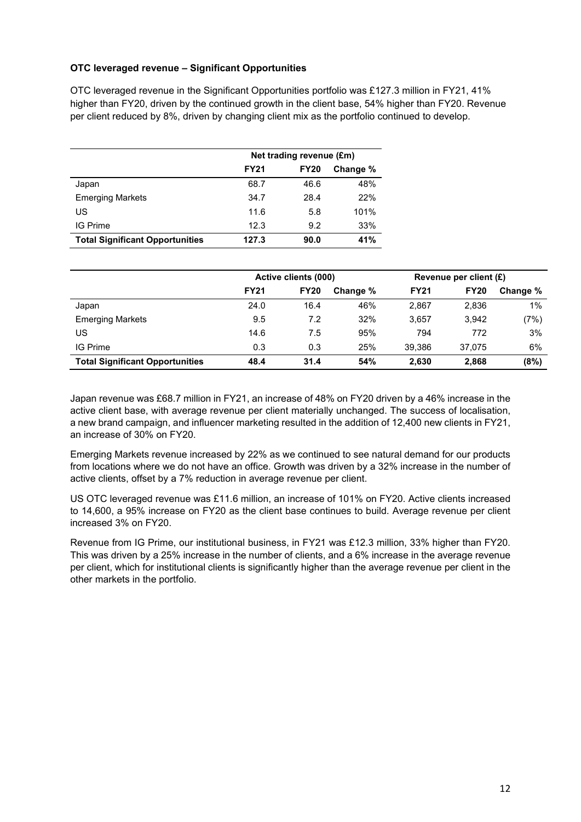## **OTC leveraged revenue – Significant Opportunities**

OTC leveraged revenue in the Significant Opportunities portfolio was £127.3 million in FY21, 41% higher than FY20, driven by the continued growth in the client base, 54% higher than FY20. Revenue per client reduced by 8%, driven by changing client mix as the portfolio continued to develop.

|                                        | Net trading revenue (£m) |             |          |  |
|----------------------------------------|--------------------------|-------------|----------|--|
|                                        | <b>FY21</b>              | <b>FY20</b> | Change % |  |
| Japan                                  | 68.7                     | 46.6        | 48%      |  |
| <b>Emerging Markets</b>                | 34.7                     | 28.4        | 22%      |  |
| US                                     | 11.6                     | 5.8         | 101%     |  |
| IG Prime                               | 12.3                     | 9.2         | 33%      |  |
| <b>Total Significant Opportunities</b> | 127.3                    | 90.0        | 41%      |  |

|                                        | Active clients (000) |             |          | Revenue per client (£) |             |          |
|----------------------------------------|----------------------|-------------|----------|------------------------|-------------|----------|
|                                        | <b>FY21</b>          | <b>FY20</b> | Change % | <b>FY21</b>            | <b>FY20</b> | Change % |
| Japan                                  | 24.0                 | 16.4        | 46%      | 2,867                  | 2,836       | 1%       |
| <b>Emerging Markets</b>                | 9.5                  | 7.2         | 32%      | 3.657                  | 3.942       | (7%)     |
| US                                     | 14.6                 | 7.5         | 95%      | 794                    | 772         | 3%       |
| IG Prime                               | 0.3                  | 0.3         | 25%      | 39.386                 | 37.075      | 6%       |
| <b>Total Significant Opportunities</b> | 48.4                 | 31.4        | 54%      | 2,630                  | 2,868       | (8%)     |

Japan revenue was £68.7 million in FY21, an increase of 48% on FY20 driven by a 46% increase in the active client base, with average revenue per client materially unchanged. The success of localisation, a new brand campaign, and influencer marketing resulted in the addition of 12,400 new clients in FY21, an increase of 30% on FY20.

Emerging Markets revenue increased by 22% as we continued to see natural demand for our products from locations where we do not have an office. Growth was driven by a 32% increase in the number of active clients, offset by a 7% reduction in average revenue per client.

US OTC leveraged revenue was £11.6 million, an increase of 101% on FY20. Active clients increased to 14,600, a 95% increase on FY20 as the client base continues to build. Average revenue per client increased 3% on FY20.

Revenue from IG Prime, our institutional business, in FY21 was £12.3 million, 33% higher than FY20. This was driven by a 25% increase in the number of clients, and a 6% increase in the average revenue per client, which for institutional clients is significantly higher than the average revenue per client in the other markets in the portfolio.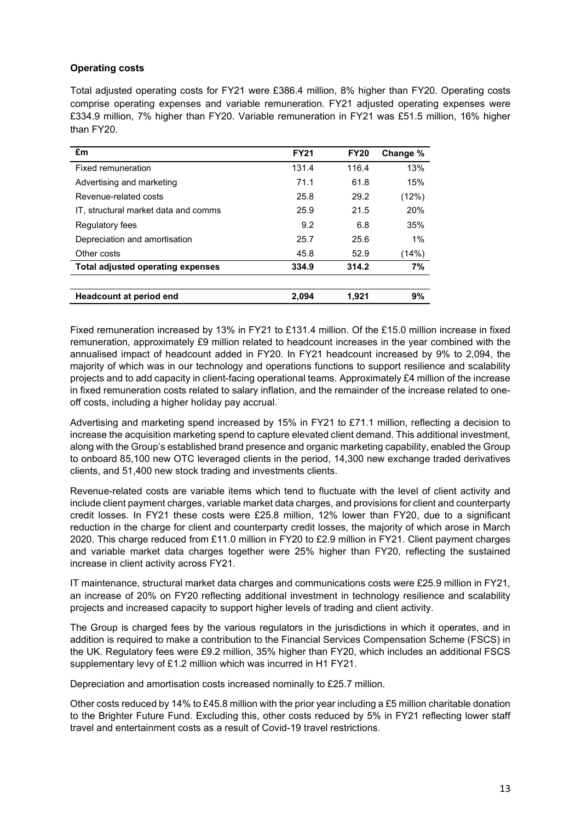## **Operating costs**

Total adjusted operating costs for FY21 were £386.4 million, 8% higher than FY20. Operating costs comprise operating expenses and variable remuneration. FY21 adjusted operating expenses were £334.9 million, 7% higher than FY20. Variable remuneration in FY21 was £51.5 million, 16% higher than FY20.

| £m                                   | <b>FY21</b> | <b>FY20</b> | Change % |
|--------------------------------------|-------------|-------------|----------|
| Fixed remuneration                   | 131.4       | 116.4       | 13%      |
| Advertising and marketing            | 71.1        | 61.8        | 15%      |
| Revenue-related costs                | 25.8        | 29.2        | (12%)    |
| IT. structural market data and comms | 25.9        | 21.5        | 20%      |
| Regulatory fees                      | 9.2         | 6.8         | 35%      |
| Depreciation and amortisation        | 25.7        | 25.6        | 1%       |
| Other costs                          | 45.8        | 52.9        | (14%)    |
| Total adjusted operating expenses    | 334.9       | 314.2       | 7%       |
|                                      |             |             |          |
| <b>Headcount at period end</b>       | 2,094       | 1,921       | 9%       |

Fixed remuneration increased by 13% in FY21 to £131.4 million. Of the £15.0 million increase in fixed remuneration, approximately £9 million related to headcount increases in the year combined with the annualised impact of headcount added in FY20. In FY21 headcount increased by 9% to 2,094, the majority of which was in our technology and operations functions to support resilience and scalability projects and to add capacity in client-facing operational teams. Approximately £4 million of the increase in fixed remuneration costs related to salary inflation, and the remainder of the increase related to oneoff costs, including a higher holiday pay accrual.

Advertising and marketing spend increased by 15% in FY21 to £71.1 million, reflecting a decision to increase the acquisition marketing spend to capture elevated client demand. This additional investment, along with the Group's established brand presence and organic marketing capability, enabled the Group to onboard 85,100 new OTC leveraged clients in the period, 14,300 new exchange traded derivatives clients, and 51,400 new stock trading and investments clients.

Revenue-related costs are variable items which tend to fluctuate with the level of client activity and include client payment charges, variable market data charges, and provisions for client and counterparty credit losses. In FY21 these costs were £25.8 million, 12% lower than FY20, due to a significant reduction in the charge for client and counterparty credit losses, the majority of which arose in March 2020. This charge reduced from £11.0 million in FY20 to £2.9 million in FY21. Client payment charges and variable market data charges together were 25% higher than FY20, reflecting the sustained increase in client activity across FY21.

IT maintenance, structural market data charges and communications costs were £25.9 million in FY21, an increase of 20% on FY20 reflecting additional investment in technology resilience and scalability projects and increased capacity to support higher levels of trading and client activity.

The Group is charged fees by the various regulators in the jurisdictions in which it operates, and in addition is required to make a contribution to the Financial Services Compensation Scheme (FSCS) in the UK. Regulatory fees were £9.2 million, 35% higher than FY20, which includes an additional FSCS supplementary levy of £1.2 million which was incurred in H1 FY21.

Depreciation and amortisation costs increased nominally to £25.7 million.

Other costs reduced by 14% to £45.8 million with the prior year including a £5 million charitable donation to the Brighter Future Fund. Excluding this, other costs reduced by 5% in FY21 reflecting lower staff travel and entertainment costs as a result of Covid-19 travel restrictions.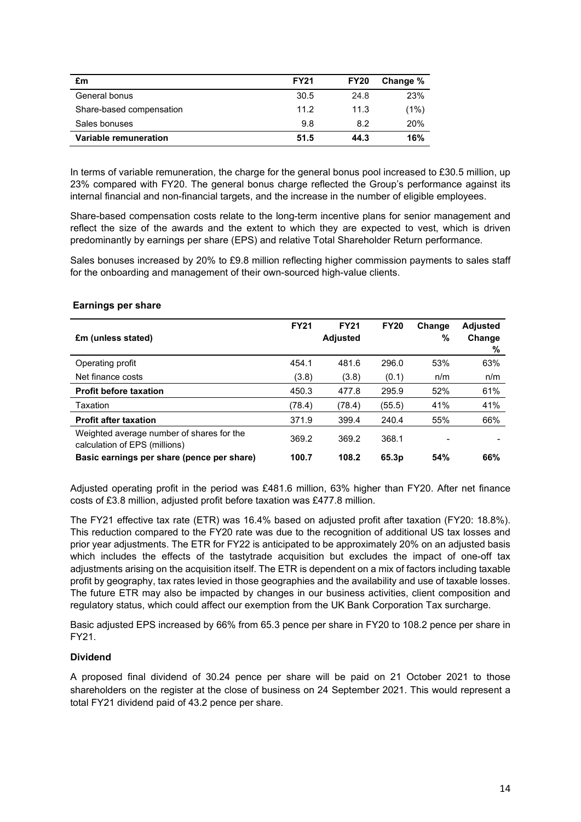| £m                       | <b>FY21</b> | <b>FY20</b> | Change % |
|--------------------------|-------------|-------------|----------|
| General bonus            | 30.5        | 24.8        | 23%      |
| Share-based compensation | 11.2        | 11.3        | (1%)     |
| Sales bonuses            | 9.8         | 8.2         | 20%      |
| Variable remuneration    | 51.5        | 44.3        | 16%      |

In terms of variable remuneration, the charge for the general bonus pool increased to £30.5 million, up 23% compared with FY20. The general bonus charge reflected the Group's performance against its internal financial and non-financial targets, and the increase in the number of eligible employees.

Share-based compensation costs relate to the long-term incentive plans for senior management and reflect the size of the awards and the extent to which they are expected to vest, which is driven predominantly by earnings per share (EPS) and relative Total Shareholder Return performance.

Sales bonuses increased by 20% to £9.8 million reflecting higher commission payments to sales staff for the onboarding and management of their own-sourced high-value clients.

| £m (unless stated)                                                         | <b>FY21</b> | <b>FY21</b><br><b>Adjusted</b> | <b>FY20</b> | Change<br>% | <b>Adjusted</b><br>Change<br>% |
|----------------------------------------------------------------------------|-------------|--------------------------------|-------------|-------------|--------------------------------|
| Operating profit                                                           | 454.1       | 481.6                          | 296.0       | 53%         | 63%                            |
| Net finance costs                                                          | (3.8)       | (3.8)                          | (0.1)       | n/m         | n/m                            |
| <b>Profit before taxation</b>                                              | 450.3       | 477.8                          | 295.9       | 52%         | 61%                            |
| Taxation                                                                   | (78.4)      | (78.4)                         | (55.5)      | 41%         | 41%                            |
| <b>Profit after taxation</b>                                               | 371.9       | 399.4                          | 240.4       | 55%         | 66%                            |
| Weighted average number of shares for the<br>calculation of EPS (millions) | 369.2       | 369.2                          | 368.1       |             |                                |
| Basic earnings per share (pence per share)                                 | 100.7       | 108.2                          | 65.3p       | 54%         | 66%                            |

## **Earnings per share**

Adjusted operating profit in the period was £481.6 million, 63% higher than FY20. After net finance costs of £3.8 million, adjusted profit before taxation was £477.8 million.

The FY21 effective tax rate (ETR) was 16.4% based on adjusted profit after taxation (FY20: 18.8%). This reduction compared to the FY20 rate was due to the recognition of additional US tax losses and prior year adjustments. The ETR for FY22 is anticipated to be approximately 20% on an adjusted basis which includes the effects of the tastytrade acquisition but excludes the impact of one-off tax adjustments arising on the acquisition itself. The ETR is dependent on a mix of factors including taxable profit by geography, tax rates levied in those geographies and the availability and use of taxable losses. The future ETR may also be impacted by changes in our business activities, client composition and regulatory status, which could affect our exemption from the UK Bank Corporation Tax surcharge.

Basic adjusted EPS increased by 66% from 65.3 pence per share in FY20 to 108.2 pence per share in FY21.

## **Dividend**

A proposed final dividend of 30.24 pence per share will be paid on 21 October 2021 to those shareholders on the register at the close of business on 24 September 2021. This would represent a total FY21 dividend paid of 43.2 pence per share.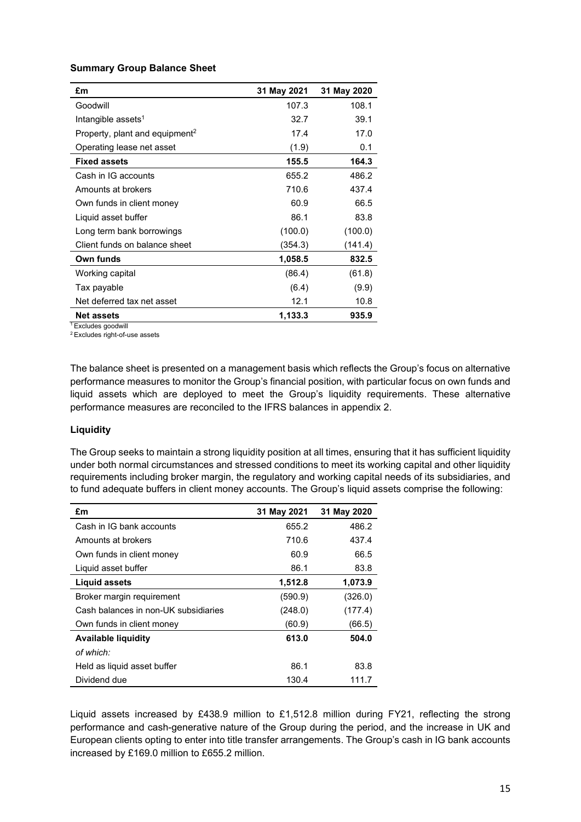## **Summary Group Balance Sheet**

| £m                                         | 31 May 2021 | 31 May 2020 |
|--------------------------------------------|-------------|-------------|
| Goodwill                                   | 107.3       | 108.1       |
| Intangible assets <sup>1</sup>             | 32.7        | 39.1        |
| Property, plant and equipment <sup>2</sup> | 17.4        | 17.0        |
| Operating lease net asset                  | (1.9)       | 0.1         |
| <b>Fixed assets</b>                        | 155.5       | 164.3       |
| Cash in IG accounts                        | 655.2       | 486.2       |
| Amounts at brokers                         | 710.6       | 437.4       |
| Own funds in client money                  | 60.9        | 66.5        |
| Liquid asset buffer                        | 86.1        | 83.8        |
| Long term bank borrowings                  | (100.0)     | (100.0)     |
| Client funds on balance sheet              | (354.3)     | (141.4)     |
| Own funds                                  | 1,058.5     | 832.5       |
| Working capital                            | (86.4)      | (61.8)      |
| Tax payable                                | (6.4)       | (9.9)       |
| Net deferred tax net asset                 | 12.1        | 10.8        |
| <b>Net assets</b>                          | 1,133.3     | 935.9       |

<sup>1</sup> Excludes goodwill

2 Excludes right-of-use assets

The balance sheet is presented on a management basis which reflects the Group's focus on alternative performance measures to monitor the Group's financial position, with particular focus on own funds and liquid assets which are deployed to meet the Group's liquidity requirements. These alternative performance measures are reconciled to the IFRS balances in appendix 2.

### **Liquidity**

The Group seeks to maintain a strong liquidity position at all times, ensuring that it has sufficient liquidity under both normal circumstances and stressed conditions to meet its working capital and other liquidity requirements including broker margin, the regulatory and working capital needs of its subsidiaries, and to fund adequate buffers in client money accounts. The Group's liquid assets comprise the following:

| £m                                   | 31 May 2021 | 31 May 2020 |
|--------------------------------------|-------------|-------------|
| Cash in IG bank accounts             | 655.2       | 486.2       |
| Amounts at brokers                   | 710.6       | 437.4       |
| Own funds in client money            | 60.9        | 66.5        |
| Liquid asset buffer                  | 86.1        | 83.8        |
| Liguid assets                        | 1,512.8     | 1,073.9     |
| Broker margin requirement            | (590.9)     | (326.0)     |
| Cash balances in non-UK subsidiaries | (248.0)     | (177.4)     |
| Own funds in client money            | (60.9)      | (66.5)      |
| <b>Available liquidity</b>           | 613.0       | 504.0       |
| of which:                            |             |             |
| Held as liquid asset buffer          | 86.1        | 83.8        |
| Dividend due                         | 130.4       | 111.7       |

Liquid assets increased by £438.9 million to £1,512.8 million during FY21, reflecting the strong performance and cash-generative nature of the Group during the period, and the increase in UK and European clients opting to enter into title transfer arrangements. The Group's cash in IG bank accounts increased by £169.0 million to £655.2 million.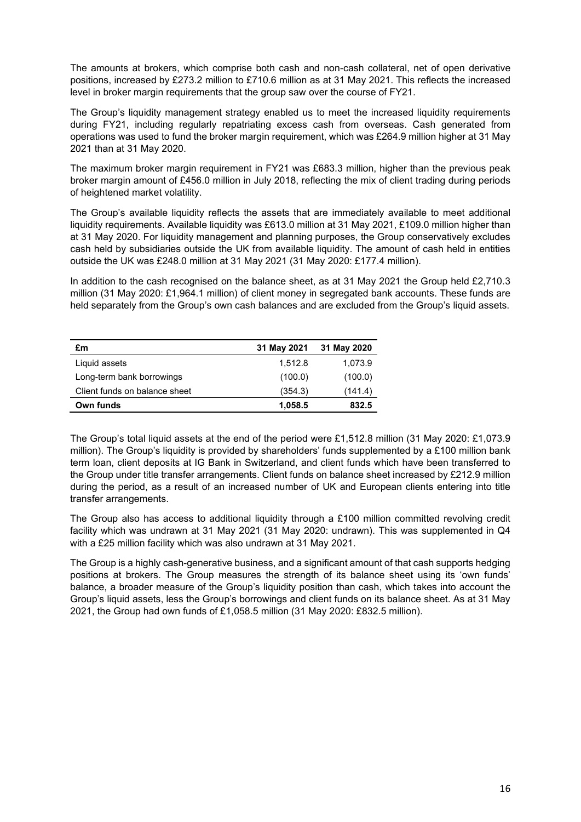The amounts at brokers, which comprise both cash and non-cash collateral, net of open derivative positions, increased by £273.2 million to £710.6 million as at 31 May 2021. This reflects the increased level in broker margin requirements that the group saw over the course of FY21.

The Group's liquidity management strategy enabled us to meet the increased liquidity requirements during FY21, including regularly repatriating excess cash from overseas. Cash generated from operations was used to fund the broker margin requirement, which was £264.9 million higher at 31 May 2021 than at 31 May 2020.

The maximum broker margin requirement in FY21 was £683.3 million, higher than the previous peak broker margin amount of £456.0 million in July 2018, reflecting the mix of client trading during periods of heightened market volatility.

The Group's available liquidity reflects the assets that are immediately available to meet additional liquidity requirements. Available liquidity was £613.0 million at 31 May 2021, £109.0 million higher than at 31 May 2020. For liquidity management and planning purposes, the Group conservatively excludes cash held by subsidiaries outside the UK from available liquidity. The amount of cash held in entities outside the UK was £248.0 million at 31 May 2021 (31 May 2020: £177.4 million).

In addition to the cash recognised on the balance sheet, as at 31 May 2021 the Group held £2,710.3 million (31 May 2020: £1,964.1 million) of client money in segregated bank accounts. These funds are held separately from the Group's own cash balances and are excluded from the Group's liquid assets.

| £m                            | 31 May 2021 | 31 May 2020 |
|-------------------------------|-------------|-------------|
| Liquid assets                 | 1.512.8     | 1,073.9     |
| Long-term bank borrowings     | (100.0)     | (100.0)     |
| Client funds on balance sheet | (354.3)     | (141.4)     |
| Own funds                     | 1,058.5     | 832.5       |

The Group's total liquid assets at the end of the period were £1,512.8 million (31 May 2020: £1,073.9 million). The Group's liquidity is provided by shareholders' funds supplemented by a £100 million bank term loan, client deposits at IG Bank in Switzerland, and client funds which have been transferred to the Group under title transfer arrangements. Client funds on balance sheet increased by £212.9 million during the period, as a result of an increased number of UK and European clients entering into title transfer arrangements.

The Group also has access to additional liquidity through a £100 million committed revolving credit facility which was undrawn at 31 May 2021 (31 May 2020: undrawn). This was supplemented in Q4 with a £25 million facility which was also undrawn at 31 May 2021.

The Group is a highly cash-generative business, and a significant amount of that cash supports hedging positions at brokers. The Group measures the strength of its balance sheet using its 'own funds' balance, a broader measure of the Group's liquidity position than cash, which takes into account the Group's liquid assets, less the Group's borrowings and client funds on its balance sheet. As at 31 May 2021, the Group had own funds of £1,058.5 million (31 May 2020: £832.5 million).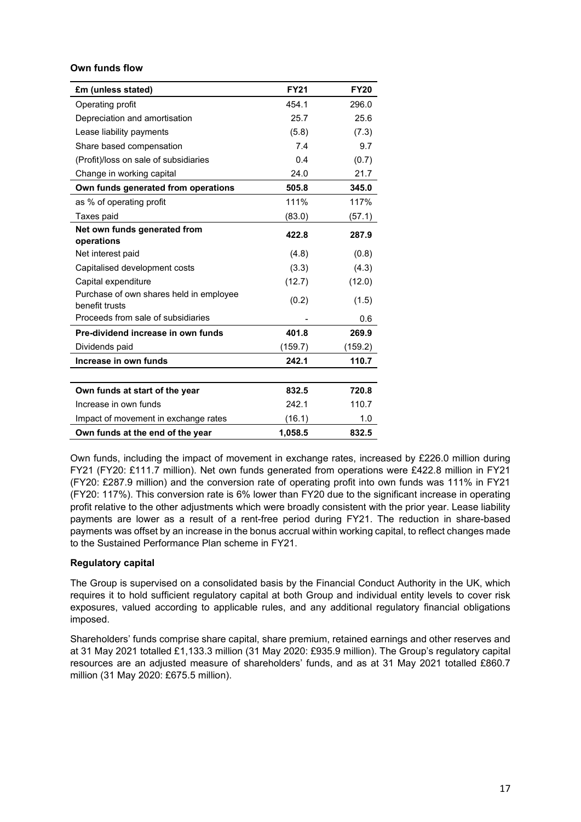## **Own funds flow**

| £m (unless stated)                                        | <b>FY21</b> | <b>FY20</b> |
|-----------------------------------------------------------|-------------|-------------|
| Operating profit                                          | 454.1       | 296.0       |
| Depreciation and amortisation                             | 25.7        | 25.6        |
| Lease liability payments                                  | (5.8)       | (7.3)       |
| Share based compensation                                  | 7.4         | 9.7         |
| (Profit)/loss on sale of subsidiaries                     | 0.4         | (0.7)       |
| Change in working capital                                 | 24.0        | 21.7        |
| Own funds generated from operations                       | 505.8       | 345.0       |
| as % of operating profit                                  | 111%        | 117%        |
| Taxes paid                                                | (83.0)      | (57.1)      |
| Net own funds generated from                              | 422.8       | 287.9       |
| operations                                                |             |             |
| Net interest paid                                         | (4.8)       | (0.8)       |
| Capitalised development costs                             | (3.3)       | (4.3)       |
| Capital expenditure                                       | (12.7)      | (12.0)      |
| Purchase of own shares held in employee<br>benefit trusts | (0.2)       | (1.5)       |
| Proceeds from sale of subsidiaries                        |             | 0.6         |
| Pre-dividend increase in own funds                        | 401.8       | 269.9       |
| Dividends paid                                            | (159.7)     | (159.2)     |
| Increase in own funds                                     | 242.1       | 110.7       |
|                                                           |             |             |
| Own funds at start of the year                            | 832.5       | 720.8       |
| Increase in own funds                                     | 242.1       | 110.7       |
| Impact of movement in exchange rates                      | (16.1)      | 1.0         |
| Own funds at the end of the year                          | 1,058.5     | 832.5       |

Own funds, including the impact of movement in exchange rates, increased by £226.0 million during FY21 (FY20: £111.7 million). Net own funds generated from operations were £422.8 million in FY21 (FY20: £287.9 million) and the conversion rate of operating profit into own funds was 111% in FY21 (FY20: 117%). This conversion rate is 6% lower than FY20 due to the significant increase in operating profit relative to the other adjustments which were broadly consistent with the prior year. Lease liability payments are lower as a result of a rent-free period during FY21. The reduction in share-based payments was offset by an increase in the bonus accrual within working capital, to reflect changes made to the Sustained Performance Plan scheme in FY21.

## **Regulatory capital**

The Group is supervised on a consolidated basis by the Financial Conduct Authority in the UK, which requires it to hold sufficient regulatory capital at both Group and individual entity levels to cover risk exposures, valued according to applicable rules, and any additional regulatory financial obligations imposed.

Shareholders' funds comprise share capital, share premium, retained earnings and other reserves and at 31 May 2021 totalled £1,133.3 million (31 May 2020: £935.9 million). The Group's regulatory capital resources are an adjusted measure of shareholders' funds, and as at 31 May 2021 totalled £860.7 million (31 May 2020: £675.5 million).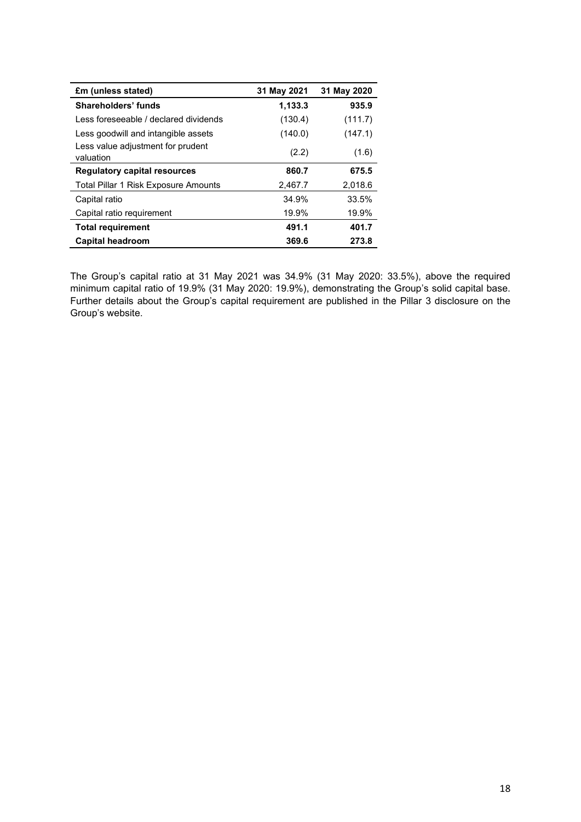| £m (unless stated)                             | 31 May 2021 | 31 May 2020 |
|------------------------------------------------|-------------|-------------|
| Shareholders' funds                            | 1,133.3     | 935.9       |
| Less foreseeable / declared dividends          | (130.4)     | (111.7)     |
| Less goodwill and intangible assets            | (140.0)     | (147.1)     |
| Less value adjustment for prudent<br>valuation | (2.2)       | (1.6)       |
| <b>Regulatory capital resources</b>            | 860.7       | 675.5       |
| Total Pillar 1 Risk Exposure Amounts           | 2,467.7     | 2,018.6     |
| Capital ratio                                  | 34.9%       | 33.5%       |
| Capital ratio requirement                      | 19.9%       | 19.9%       |
| <b>Total requirement</b>                       | 491.1       | 401.7       |
| <b>Capital headroom</b>                        | 369.6       | 273.8       |

The Group's capital ratio at 31 May 2021 was 34.9% (31 May 2020: 33.5%), above the required minimum capital ratio of 19.9% (31 May 2020: 19.9%), demonstrating the Group's solid capital base. Further details about the Group's capital requirement are published in the Pillar 3 disclosure on the Group's website.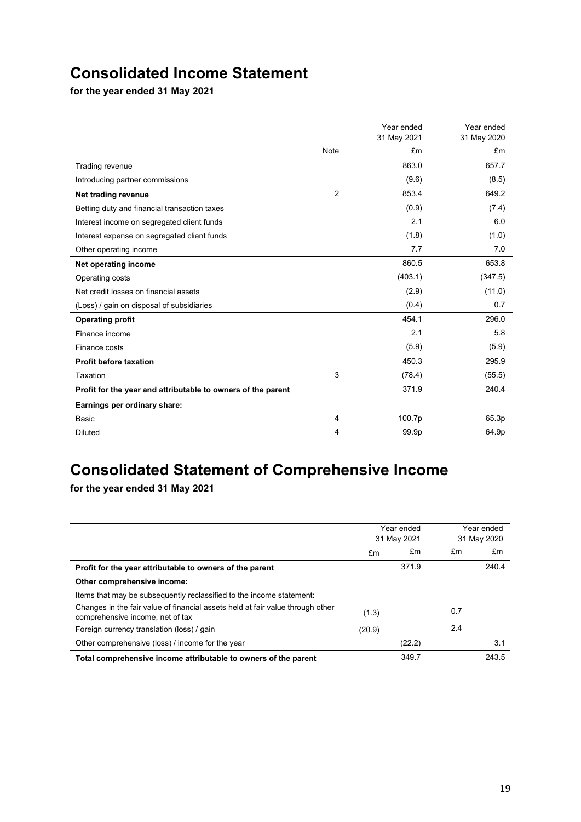## **Consolidated Income Statement**

**for the year ended 31 May 2021**

|                                                              |                | Year ended  | Year ended  |
|--------------------------------------------------------------|----------------|-------------|-------------|
|                                                              |                | 31 May 2021 | 31 May 2020 |
|                                                              | Note           | £m          | £m          |
| Trading revenue                                              |                | 863.0       | 657.7       |
| Introducing partner commissions                              |                | (9.6)       | (8.5)       |
| Net trading revenue                                          | $\overline{2}$ | 853.4       | 649.2       |
| Betting duty and financial transaction taxes                 |                | (0.9)       | (7.4)       |
| Interest income on segregated client funds                   |                | 2.1         | 6.0         |
| Interest expense on segregated client funds                  |                | (1.8)       | (1.0)       |
| Other operating income                                       |                | 7.7         | 7.0         |
| Net operating income                                         |                | 860.5       | 653.8       |
| Operating costs                                              |                | (403.1)     | (347.5)     |
| Net credit losses on financial assets                        |                | (2.9)       | (11.0)      |
| (Loss) / gain on disposal of subsidiaries                    |                | (0.4)       | 0.7         |
| <b>Operating profit</b>                                      |                | 454.1       | 296.0       |
| Finance income                                               |                | 2.1         | 5.8         |
| Finance costs                                                |                | (5.9)       | (5.9)       |
| <b>Profit before taxation</b>                                |                | 450.3       | 295.9       |
| Taxation                                                     | 3              | (78.4)      | (55.5)      |
| Profit for the year and attributable to owners of the parent |                | 371.9       | 240.4       |
| Earnings per ordinary share:                                 |                |             |             |
| <b>Basic</b>                                                 | 4              | 100.7p      | 65.3p       |
| <b>Diluted</b>                                               | 4              | 99.9p       | 64.9p       |

# **Consolidated Statement of Comprehensive Income**

**for the year ended 31 May 2021**

|                                                                                                                    | Year ended<br>31 May 2021 |        | Year ended<br>31 May 2020 |       |
|--------------------------------------------------------------------------------------------------------------------|---------------------------|--------|---------------------------|-------|
|                                                                                                                    | £m                        | £m     | £m                        | £m    |
| Profit for the year attributable to owners of the parent                                                           |                           | 371.9  |                           | 240.4 |
| Other comprehensive income:                                                                                        |                           |        |                           |       |
| Items that may be subsequently reclassified to the income statement:                                               |                           |        |                           |       |
| Changes in the fair value of financial assets held at fair value through other<br>comprehensive income, net of tax | (1.3)                     |        | 0.7                       |       |
| Foreign currency translation (loss) / gain                                                                         | (20.9)                    |        | 2.4                       |       |
| Other comprehensive (loss) / income for the year                                                                   |                           | (22.2) |                           | 3.1   |
| Total comprehensive income attributable to owners of the parent                                                    |                           | 349.7  |                           | 243.5 |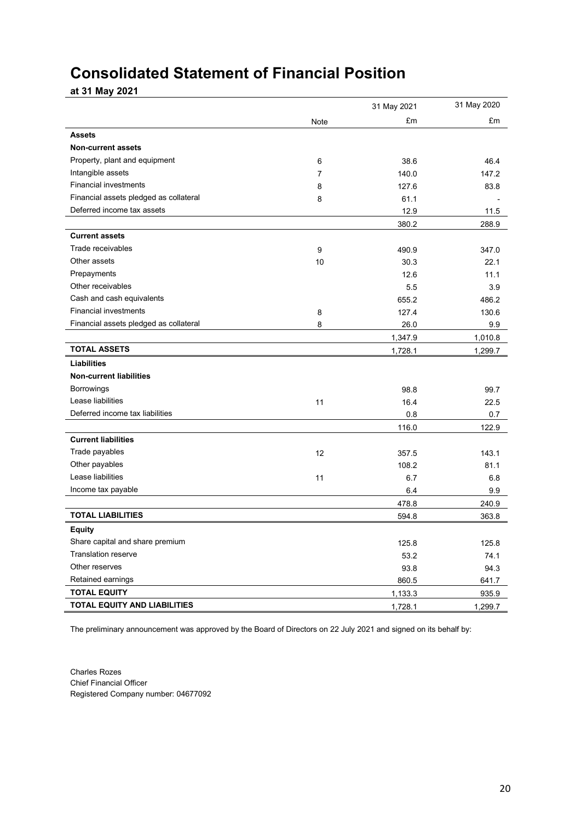## **Consolidated Statement of Financial Position**

**at 31 May 2021**

|                                        |      | 31 May 2021 | 31 May 2020 |
|----------------------------------------|------|-------------|-------------|
|                                        | Note | £m          | £m          |
| <b>Assets</b>                          |      |             |             |
| <b>Non-current assets</b>              |      |             |             |
| Property, plant and equipment          | 6    | 38.6        | 46.4        |
| Intangible assets                      | 7    | 140.0       | 147.2       |
| <b>Financial investments</b>           | 8    | 127.6       | 83.8        |
| Financial assets pledged as collateral | 8    | 61.1        |             |
| Deferred income tax assets             |      | 12.9        | 11.5        |
|                                        |      | 380.2       | 288.9       |
| <b>Current assets</b>                  |      |             |             |
| Trade receivables                      | 9    | 490.9       | 347.0       |
| Other assets                           | 10   | 30.3        | 22.1        |
| Prepayments                            |      | 12.6        | 11.1        |
| Other receivables                      |      | 5.5         | 3.9         |
| Cash and cash equivalents              |      | 655.2       | 486.2       |
| <b>Financial investments</b>           | 8    | 127.4       | 130.6       |
| Financial assets pledged as collateral | 8    | 26.0        | 9.9         |
|                                        |      | 1,347.9     | 1,010.8     |
| <b>TOTAL ASSETS</b>                    |      | 1,728.1     | 1,299.7     |
| <b>Liabilities</b>                     |      |             |             |
| <b>Non-current liabilities</b>         |      |             |             |
| <b>Borrowings</b>                      |      | 98.8        | 99.7        |
| Lease liabilities                      | 11   | 16.4        | 22.5        |
| Deferred income tax liabilities        |      | 0.8         | 0.7         |
|                                        |      | 116.0       | 122.9       |
| <b>Current liabilities</b>             |      |             |             |
| Trade payables                         | 12   | 357.5       | 143.1       |
| Other payables                         |      | 108.2       | 81.1        |
| Lease liabilities                      | 11   | 6.7         | 6.8         |
| Income tax payable                     |      | 6.4         | 9.9         |
|                                        |      | 478.8       | 240.9       |
| <b>TOTAL LIABILITIES</b>               |      | 594.8       | 363.8       |
| Equity                                 |      |             |             |
| Share capital and share premium        |      | 125.8       | 125.8       |
| <b>Translation reserve</b>             |      | 53.2        | 74.1        |
| Other reserves                         |      | 93.8        | 94.3        |
| Retained earnings                      |      | 860.5       | 641.7       |
| <b>TOTAL EQUITY</b>                    |      | 1,133.3     | 935.9       |
| <b>TOTAL EQUITY AND LIABILITIES</b>    |      | 1,728.1     | 1,299.7     |

The preliminary announcement was approved by the Board of Directors on 22 July 2021 and signed on its behalf by:

Charles Rozes Chief Financial Officer Registered Company number: 04677092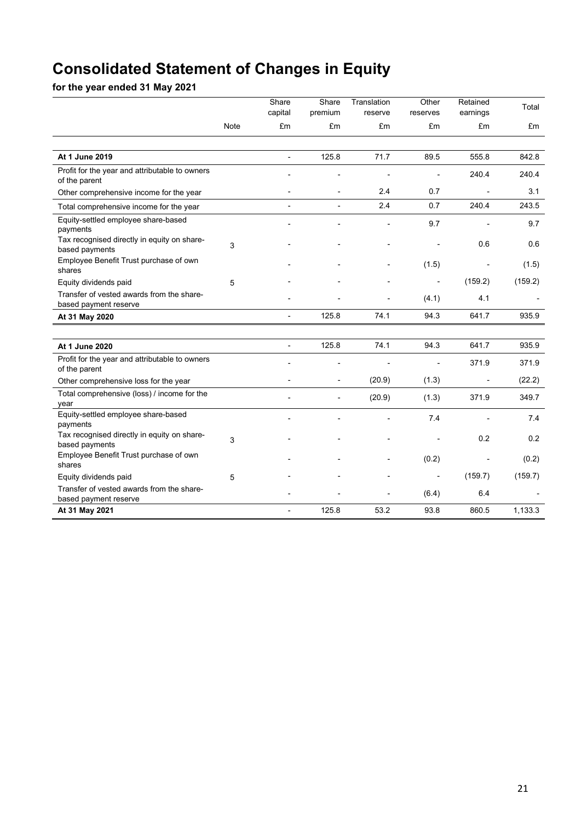# **Consolidated Statement of Changes in Equity**

**for the year ended 31 May 2021**

|                                                                    |      | Share<br>capital | Share<br>premium         | Translation<br>reserve | Other<br>reserves | Retained<br>earnings     | Total   |
|--------------------------------------------------------------------|------|------------------|--------------------------|------------------------|-------------------|--------------------------|---------|
|                                                                    | Note | £m               | £m                       | £m                     | £m                | £m                       | £m      |
|                                                                    |      |                  |                          |                        |                   |                          |         |
| At 1 June 2019                                                     |      |                  | 125.8                    | 71.7                   | 89.5              | 555.8                    | 842.8   |
| Profit for the year and attributable to owners<br>of the parent    |      |                  |                          |                        |                   | 240.4                    | 240.4   |
| Other comprehensive income for the year                            |      |                  | $\overline{a}$           | 2.4                    | 0.7               |                          | 3.1     |
| Total comprehensive income for the year                            |      | $\overline{a}$   | $\overline{a}$           | 2.4                    | 0.7               | 240.4                    | 243.5   |
| Equity-settled employee share-based<br>payments                    |      |                  |                          |                        | 9.7               |                          | 9.7     |
| Tax recognised directly in equity on share-<br>based payments      | 3    |                  |                          |                        |                   | 0.6                      | 0.6     |
| Employee Benefit Trust purchase of own<br>shares                   |      |                  |                          |                        | (1.5)             |                          | (1.5)   |
| Equity dividends paid                                              | 5    |                  |                          |                        |                   | (159.2)                  | (159.2) |
| Transfer of vested awards from the share-<br>based payment reserve |      |                  |                          |                        | (4.1)             | 4.1                      |         |
| At 31 May 2020                                                     |      | $\overline{a}$   | 125.8                    | 74.1                   | 94.3              | 641.7                    | 935.9   |
|                                                                    |      |                  |                          |                        |                   |                          |         |
| At 1 June 2020                                                     |      | $\overline{a}$   | 125.8                    | 74.1                   | 94.3              | 641.7                    | 935.9   |
| Profit for the year and attributable to owners<br>of the parent    |      |                  |                          |                        |                   | 371.9                    | 371.9   |
| Other comprehensive loss for the year                              |      |                  | $\overline{\phantom{a}}$ | (20.9)                 | (1.3)             | $\overline{\phantom{a}}$ | (22.2)  |
| Total comprehensive (loss) / income for the<br>year                |      |                  | L,                       | (20.9)                 | (1.3)             | 371.9                    | 349.7   |
| Equity-settled employee share-based<br>payments                    |      |                  |                          |                        | 7.4               |                          | 7.4     |
| Tax recognised directly in equity on share-<br>based payments      | 3    |                  |                          |                        |                   | 0.2                      | 0.2     |
| Employee Benefit Trust purchase of own<br>shares                   |      |                  |                          |                        | (0.2)             |                          | (0.2)   |
| Equity dividends paid                                              | 5    |                  |                          |                        |                   | (159.7)                  | (159.7) |
| Transfer of vested awards from the share-<br>based payment reserve |      |                  |                          |                        | (6.4)             | 6.4                      |         |
| At 31 May 2021                                                     |      |                  | 125.8                    | 53.2                   | 93.8              | 860.5                    | 1,133.3 |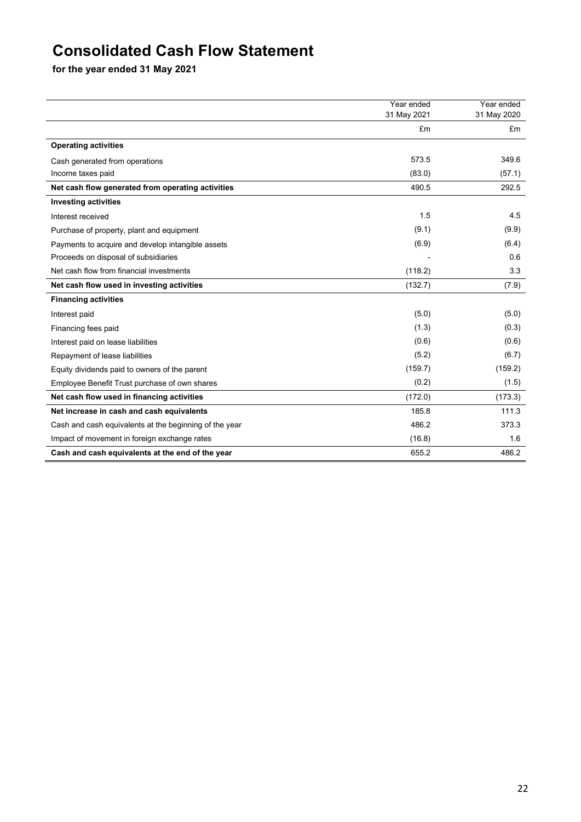## **Consolidated Cash Flow Statement**

**for the year ended 31 May 2021**

|                                                        | Year ended  | Year ended  |
|--------------------------------------------------------|-------------|-------------|
|                                                        | 31 May 2021 | 31 May 2020 |
|                                                        | £m          | £m          |
| <b>Operating activities</b>                            |             |             |
| Cash generated from operations                         | 573.5       | 349.6       |
| Income taxes paid                                      | (83.0)      | (57.1)      |
| Net cash flow generated from operating activities      | 490.5       | 292.5       |
| <b>Investing activities</b>                            |             |             |
| Interest received                                      | 1.5         | 4.5         |
| Purchase of property, plant and equipment              | (9.1)       | (9.9)       |
| Payments to acquire and develop intangible assets      | (6.9)       | (6.4)       |
| Proceeds on disposal of subsidiaries                   |             | 0.6         |
| Net cash flow from financial investments               | (118.2)     | 3.3         |
| Net cash flow used in investing activities             | (132.7)     | (7.9)       |
| <b>Financing activities</b>                            |             |             |
| Interest paid                                          | (5.0)       | (5.0)       |
| Financing fees paid                                    | (1.3)       | (0.3)       |
| Interest paid on lease liabilities                     | (0.6)       | (0.6)       |
| Repayment of lease liabilities                         | (5.2)       | (6.7)       |
| Equity dividends paid to owners of the parent          | (159.7)     | (159.2)     |
| Employee Benefit Trust purchase of own shares          | (0.2)       | (1.5)       |
| Net cash flow used in financing activities             | (172.0)     | (173.3)     |
| Net increase in cash and cash equivalents              | 185.8       | 111.3       |
| Cash and cash equivalents at the beginning of the year | 486.2       | 373.3       |
| Impact of movement in foreign exchange rates           | (16.8)      | 1.6         |
| Cash and cash equivalents at the end of the year       | 655.2       | 486.2       |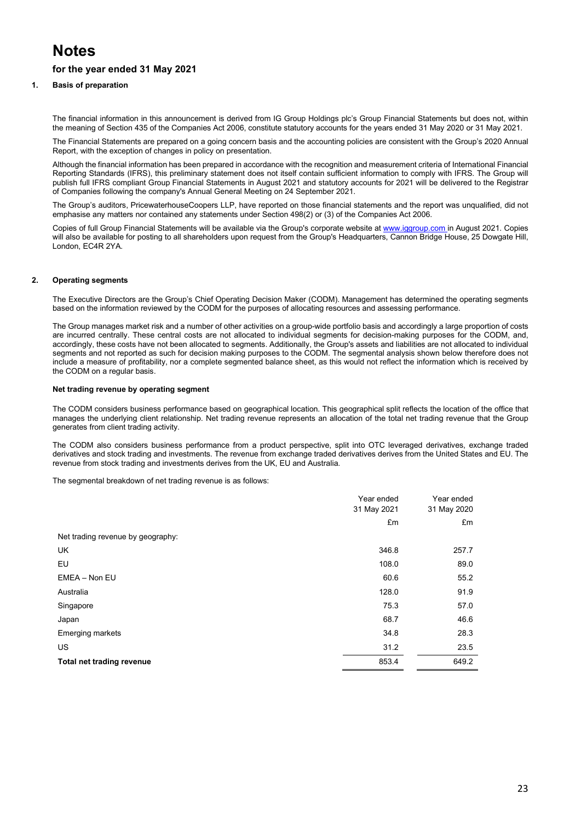## **Notes**

## **for the year ended 31 May 2021**

### **1. Basis of preparation**

The financial information in this announcement is derived from IG Group Holdings plc's Group Financial Statements but does not, within the meaning of Section 435 of the Companies Act 2006, constitute statutory accounts for the years ended 31 May 2020 or 31 May 2021.

The Financial Statements are prepared on a going concern basis and the accounting policies are consistent with the Group's 2020 Annual Report, with the exception of changes in policy on presentation.

Although the financial information has been prepared in accordance with the recognition and measurement criteria of International Financial Reporting Standards (IFRS), this preliminary statement does not itself contain sufficient information to comply with IFRS. The Group will publish full IFRS compliant Group Financial Statements in August 2021 and statutory accounts for 2021 will be delivered to the Registrar of Companies following the company's Annual General Meeting on 24 September 2021.

The Group's auditors, PricewaterhouseCoopers LLP, have reported on those financial statements and the report was unqualified, did not emphasise any matters nor contained any statements under Section 498(2) or (3) of the Companies Act 2006.

Copies of full Group Financial Statements will be available via the Group's corporate website a[t www.iggroup.com](http://www.iggroup.com/) in August 2021. Copies will also be available for posting to all shareholders upon request from the Group's Headquarters, Cannon Bridge House, 25 Dowgate Hill, London, EC4R 2YA.

### **2. Operating segments**

The Executive Directors are the Group's Chief Operating Decision Maker (CODM). Management has determined the operating segments based on the information reviewed by the CODM for the purposes of allocating resources and assessing performance.

The Group manages market risk and a number of other activities on a group-wide portfolio basis and accordingly a large proportion of costs are incurred centrally. These central costs are not allocated to individual segments for decision-making purposes for the CODM, and, accordingly, these costs have not been allocated to segments. Additionally, the Group's assets and liabilities are not allocated to individual segments and not reported as such for decision making purposes to the CODM. The segmental analysis shown below therefore does not include a measure of profitability, nor a complete segmented balance sheet, as this would not reflect the information which is received by the CODM on a regular basis.

### **Net trading revenue by operating segment**

The CODM considers business performance based on geographical location. This geographical split reflects the location of the office that manages the underlying client relationship. Net trading revenue represents an allocation of the total net trading revenue that the Group generates from client trading activity.

The CODM also considers business performance from a product perspective, split into OTC leveraged derivatives, exchange traded derivatives and stock trading and investments. The revenue from exchange traded derivatives derives from the United States and EU. The revenue from stock trading and investments derives from the UK, EU and Australia.

The segmental breakdown of net trading revenue is as follows:

|                                   | Year ended  | Year ended  |
|-----------------------------------|-------------|-------------|
|                                   | 31 May 2021 | 31 May 2020 |
|                                   | £m          | £m          |
| Net trading revenue by geography: |             |             |
| <b>UK</b>                         | 346.8       | 257.7       |
| EU                                | 108.0       | 89.0        |
| EMEA - Non EU                     | 60.6        | 55.2        |
| Australia                         | 128.0       | 91.9        |
| Singapore                         | 75.3        | 57.0        |
| Japan                             | 68.7        | 46.6        |
| <b>Emerging markets</b>           | 34.8        | 28.3        |
| <b>US</b>                         | 31.2        | 23.5        |
| <b>Total net trading revenue</b>  | 853.4       | 649.2       |
|                                   |             |             |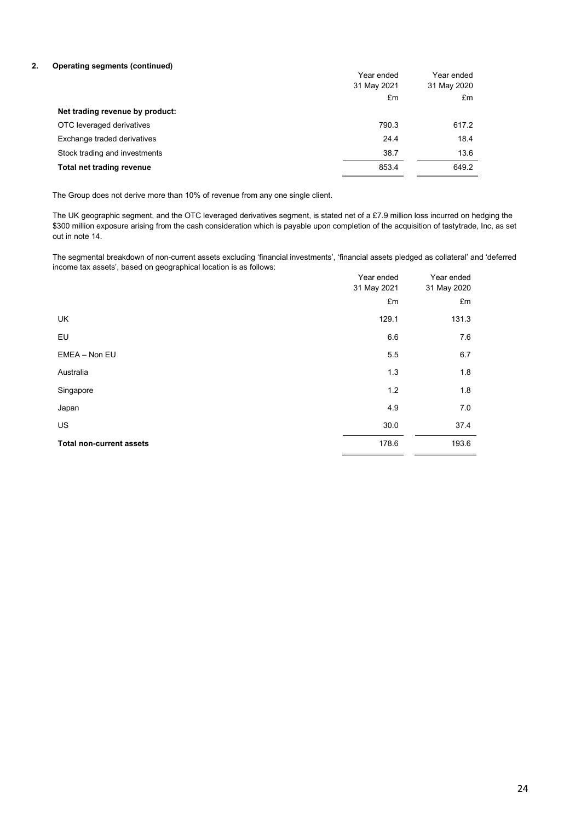### **2. Operating segments (continued)**

|                                 | Year ended  | Year ended  |
|---------------------------------|-------------|-------------|
|                                 | 31 May 2021 | 31 May 2020 |
|                                 | £m          | £m          |
| Net trading revenue by product: |             |             |
| OTC leveraged derivatives       | 790.3       | 617.2       |
| Exchange traded derivatives     | 24.4        | 18.4        |
| Stock trading and investments   | 38.7        | 13.6        |
| Total net trading revenue       | 853.4       | 649.2       |

The Group does not derive more than 10% of revenue from any one single client.

The UK geographic segment, and the OTC leveraged derivatives segment, is stated net of a £7.9 million loss incurred on hedging the \$300 million exposure arising from the cash consideration which is payable upon completion of the acquisition of tastytrade, Inc, as set out in note 14.

The segmental breakdown of non-current assets excluding 'financial investments', 'financial assets pledged as collateral' and 'deferred income tax assets', based on geographical location is as follows:

|                                 | Year ended<br>31 May 2021 | Year ended<br>31 May 2020 |
|---------------------------------|---------------------------|---------------------------|
|                                 | £m                        | £m                        |
| UK                              | 129.1                     | 131.3                     |
| EU                              | 6.6                       | 7.6                       |
| EMEA - Non EU                   | 5.5                       | 6.7                       |
| Australia                       | 1.3                       | 1.8                       |
| Singapore                       | 1.2                       | 1.8                       |
| Japan                           | 4.9                       | 7.0                       |
| <b>US</b>                       | 30.0                      | 37.4                      |
| <b>Total non-current assets</b> | 178.6                     | 193.6                     |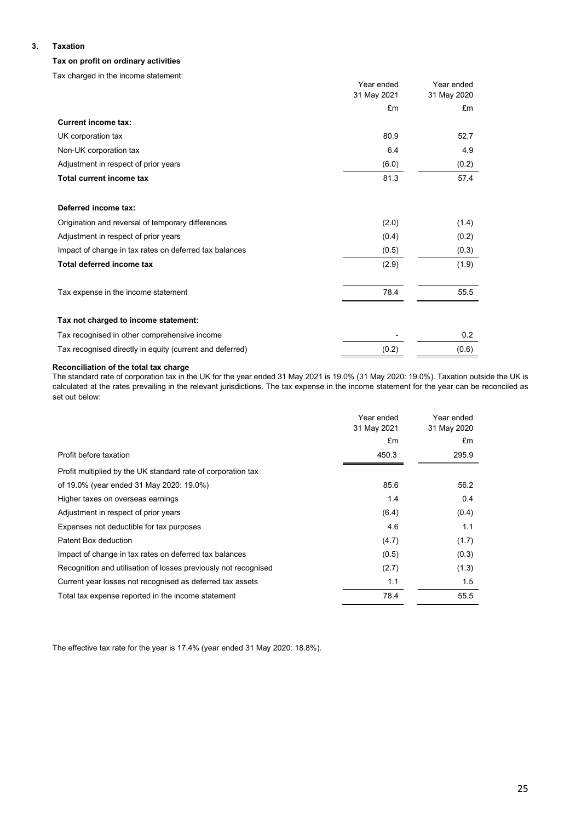### **3. Taxation**

### **Tax on profit on ordinary activities**

Tax charged in the income statement:

|                                                          | Year ended  | Year ended  |
|----------------------------------------------------------|-------------|-------------|
|                                                          | 31 May 2021 | 31 May 2020 |
|                                                          | £m          | £m          |
| <b>Current income tax:</b>                               |             |             |
| UK corporation tax                                       | 80.9        | 52.7        |
| Non-UK corporation tax                                   | 6.4         | 4.9         |
| Adjustment in respect of prior years                     | (6.0)       | (0.2)       |
| Total current income tax                                 | 81.3        | 57.4        |
| Deferred income tax:                                     |             |             |
| Origination and reversal of temporary differences        | (2.0)       | (1.4)       |
| Adjustment in respect of prior years                     | (0.4)       | (0.2)       |
| Impact of change in tax rates on deferred tax balances   | (0.5)       | (0.3)       |
| Total deferred income tax                                | (2.9)       | (1.9)       |
| Tax expense in the income statement                      | 78.4        | 55.5        |
| Tax not charged to income statement:                     |             |             |
| Tax recognised in other comprehensive income             |             | 0.2         |
| Tax recognised directly in equity (current and deferred) | (0.2)       | (0.6)       |

### **Reconciliation of the total tax charge**

The standard rate of corporation tax in the UK for the year ended 31 May 2021 is 19.0% (31 May 2020: 19.0%). Taxation outside the UK is calculated at the rates prevailing in the relevant jurisdictions. The tax expense in the income statement for the year can be reconciled as set out below:

|                                                                 | Year ended<br>31 May 2021 | Year ended<br>31 May 2020 |
|-----------------------------------------------------------------|---------------------------|---------------------------|
|                                                                 | £m                        | £m                        |
| Profit before taxation                                          | 450.3                     | 295.9                     |
| Profit multiplied by the UK standard rate of corporation tax    |                           |                           |
| of 19.0% (year ended 31 May 2020: 19.0%)                        | 85.6                      | 56.2                      |
| Higher taxes on overseas earnings                               | 1.4                       | 0.4                       |
| Adjustment in respect of prior years                            | (6.4)                     | (0.4)                     |
| Expenses not deductible for tax purposes                        | 4.6                       | 1.1                       |
| Patent Box deduction                                            | (4.7)                     | (1.7)                     |
| Impact of change in tax rates on deferred tax balances          | (0.5)                     | (0.3)                     |
| Recognition and utilisation of losses previously not recognised | (2.7)                     | (1.3)                     |
| Current year losses not recognised as deferred tax assets       | 1.1                       | 1.5                       |
| Total tax expense reported in the income statement              | 78.4                      | 55.5                      |

The effective tax rate for the year is 17.4% (year ended 31 May 2020: 18.8%).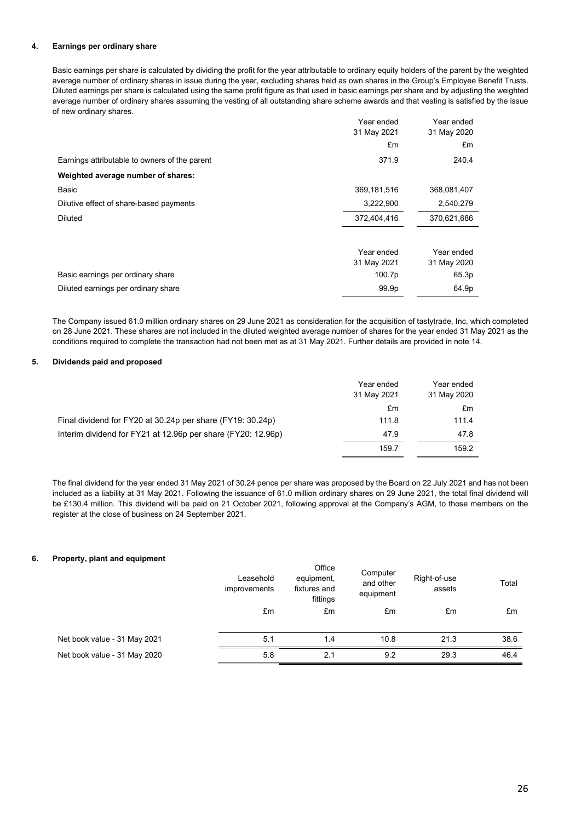### **4. Earnings per ordinary share**

Basic earnings per share is calculated by dividing the profit for the year attributable to ordinary equity holders of the parent by the weighted average number of ordinary shares in issue during the year, excluding shares held as own shares in the Group's Employee Benefit Trusts. Diluted earnings per share is calculated using the same profit figure as that used in basic earnings per share and by adjusting the weighted average number of ordinary shares assuming the vesting of all outstanding share scheme awards and that vesting is satisfied by the issue of new ordinary shares.

|                                               | Year ended    | Year ended  |
|-----------------------------------------------|---------------|-------------|
|                                               | 31 May 2021   | 31 May 2020 |
|                                               | £m            | £m          |
| Earnings attributable to owners of the parent | 371.9         | 240.4       |
| Weighted average number of shares:            |               |             |
| Basic                                         | 369, 181, 516 | 368,081,407 |
| Dilutive effect of share-based payments       | 3,222,900     | 2,540,279   |
| Diluted                                       | 372,404,416   | 370,621,686 |
|                                               |               |             |
|                                               | Year ended    | Year ended  |
|                                               | 31 May 2021   | 31 May 2020 |
| Basic earnings per ordinary share             | 100.7p        | 65.3p       |
| Diluted earnings per ordinary share           | 99.9p         | 64.9p       |

The Company issued 61.0 million ordinary shares on 29 June 2021 as consideration for the acquisition of tastytrade, Inc, which completed on 28 June 2021. These shares are not included in the diluted weighted average number of shares for the year ended 31 May 2021 as the conditions required to complete the transaction had not been met as at 31 May 2021. Further details are provided in note 14.

### **5. Dividends paid and proposed**

|                                                              | Year ended<br>31 May 2021 | Year ended<br>31 May 2020 |
|--------------------------------------------------------------|---------------------------|---------------------------|
|                                                              | £m                        | £m                        |
| Final dividend for FY20 at 30.24p per share (FY19: 30.24p)   | 111.8                     | 111.4                     |
| Interim dividend for FY21 at 12.96p per share (FY20: 12.96p) | 47.9                      | 47.8                      |
|                                                              | 159.7                     | 159.2                     |

The final dividend for the year ended 31 May 2021 of 30.24 pence per share was proposed by the Board on 22 July 2021 and has not been included as a liability at 31 May 2021. Following the issuance of 61.0 million ordinary shares on 29 June 2021, the total final dividend will be £130.4 million. This dividend will be paid on 21 October 2021, following approval at the Company's AGM, to those members on the register at the close of business on 24 September 2021.

### **6. Property, plant and equipment**

| .<br>. .                     | Leasehold<br>improvements | Office<br>equipment,<br>fixtures and<br>fittings | Computer<br>and other<br>equipment | Right-of-use<br>assets | Total |
|------------------------------|---------------------------|--------------------------------------------------|------------------------------------|------------------------|-------|
|                              | £m                        | £m                                               | £m                                 | £m                     | £m    |
| Net book value - 31 May 2021 | 5.1                       | 1.4                                              | 10.8                               | 21.3                   | 38.6  |
| Net book value - 31 May 2020 | 5.8                       | 2.1                                              | 9.2                                | 29.3                   | 46.4  |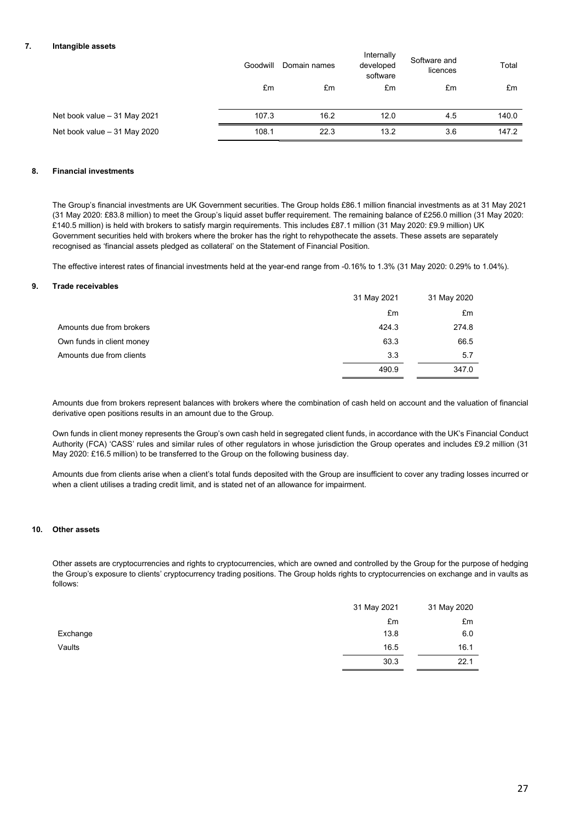### **7. Intangible assets**

|                               | Goodwill | Domain names | Internally<br>developed<br>software | Software and<br>licences | Total |
|-------------------------------|----------|--------------|-------------------------------------|--------------------------|-------|
|                               | £m       | £m           | £m                                  | £m                       | £m    |
| Net book value $-31$ May 2021 | 107.3    | 16.2         | 12.0                                | 4.5                      | 140.0 |
| Net book value - 31 May 2020  | 108.1    | 22.3         | 13.2                                | 3.6                      | 147.2 |

### **8. Financial investments**

The Group's financial investments are UK Government securities. The Group holds £86.1 million financial investments as at 31 May 2021 (31 May 2020: £83.8 million) to meet the Group's liquid asset buffer requirement. The remaining balance of £256.0 million (31 May 2020: £140.5 million) is held with brokers to satisfy margin requirements. This includes £87.1 million (31 May 2020: £9.9 million) UK Government securities held with brokers where the broker has the right to rehypothecate the assets. These assets are separately recognised as 'financial assets pledged as collateral' on the Statement of Financial Position.

The effective interest rates of financial investments held at the year-end range from -0.16% to 1.3% (31 May 2020: 0.29% to 1.04%).

### **9. Trade receivables**

|                           | 31 May 2021 | 31 May 2020 |
|---------------------------|-------------|-------------|
|                           | £m          | £m          |
| Amounts due from brokers  | 424.3       | 274.8       |
| Own funds in client money | 63.3        | 66.5        |
| Amounts due from clients  | 3.3         | 5.7         |
|                           | 490.9       | 347.0       |

Amounts due from brokers represent balances with brokers where the combination of cash held on account and the valuation of financial derivative open positions results in an amount due to the Group.

Own funds in client money represents the Group's own cash held in segregated client funds, in accordance with the UK's Financial Conduct Authority (FCA) 'CASS' rules and similar rules of other regulators in whose jurisdiction the Group operates and includes £9.2 million (31 May 2020: £16.5 million) to be transferred to the Group on the following business day.

Amounts due from clients arise when a client's total funds deposited with the Group are insufficient to cover any trading losses incurred or when a client utilises a trading credit limit, and is stated net of an allowance for impairment.

### **10. Other assets**

Other assets are cryptocurrencies and rights to cryptocurrencies, which are owned and controlled by the Group for the purpose of hedging the Group's exposure to clients' cryptocurrency trading positions. The Group holds rights to cryptocurrencies on exchange and in vaults as follows:

|          | 31 May 2021 | 31 May 2020 |
|----------|-------------|-------------|
|          | £m          | £m          |
| Exchange | 13.8        | 6.0         |
| Vaults   | 16.5        | 16.1        |
|          | 30.3        | 22.1        |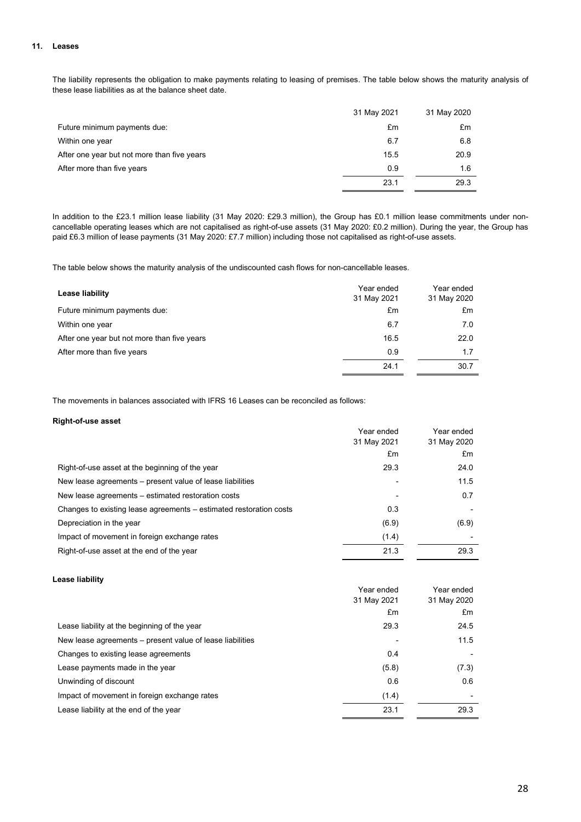#### **11. Leases**

The liability represents the obligation to make payments relating to leasing of premises. The table below shows the maturity analysis of these lease liabilities as at the balance sheet date.

|                                             | 31 May 2021 | 31 May 2020 |
|---------------------------------------------|-------------|-------------|
| Future minimum payments due:                | £m          | £m          |
| Within one year                             | 6.7         | 6.8         |
| After one year but not more than five years | 15.5        | 20.9        |
| After more than five years                  | 0.9         | 1.6         |
|                                             | 23.1        | 29.3        |

In addition to the £23.1 million lease liability (31 May 2020: £29.3 million), the Group has £0.1 million lease commitments under noncancellable operating leases which are not capitalised as right-of-use assets (31 May 2020: £0.2 million). During the year, the Group has paid £6.3 million of lease payments (31 May 2020: £7.7 million) including those not capitalised as right-of-use assets.

The table below shows the maturity analysis of the undiscounted cash flows for non-cancellable leases.

| Lease liability                             | Year ended<br>31 May 2021 | Year ended<br>31 May 2020 |
|---------------------------------------------|---------------------------|---------------------------|
| Future minimum payments due:                | £m                        | £m                        |
| Within one year                             | 6.7                       | 7.0                       |
| After one year but not more than five years | 16.5                      | 22.0                      |
| After more than five years                  | 0.9                       | 1.7                       |
|                                             | 24.1                      | 30.7                      |

The movements in balances associated with IFRS 16 Leases can be reconciled as follows:

### **Right-of-use asset**

| . <sub>.</sub>                                                     | Year ended<br>31 May 2021<br>£m | Year ended<br>31 May 2020<br>£m |
|--------------------------------------------------------------------|---------------------------------|---------------------------------|
| Right-of-use asset at the beginning of the year                    | 29.3                            | 24.0                            |
| New lease agreements – present value of lease liabilities          |                                 | 11.5                            |
| New lease agreements – estimated restoration costs                 | ٠                               | 0.7                             |
| Changes to existing lease agreements - estimated restoration costs | 0.3                             |                                 |
| Depreciation in the year                                           | (6.9)                           | (6.9)                           |
| Impact of movement in foreign exchange rates                       | (1.4)                           |                                 |
| Right-of-use asset at the end of the year                          | 21.3                            | 29.3                            |

#### **Lease liability**

| -----------                                               | Year ended<br>31 May 2021 | Year ended<br>31 May 2020 |
|-----------------------------------------------------------|---------------------------|---------------------------|
|                                                           | £m                        | £m                        |
| Lease liability at the beginning of the year              | 29.3                      | 24.5                      |
| New lease agreements – present value of lease liabilities |                           | 11.5                      |
| Changes to existing lease agreements                      | 0.4                       |                           |
| Lease payments made in the year                           | (5.8)                     | (7.3)                     |
| Unwinding of discount                                     | 0.6                       | 0.6                       |
| Impact of movement in foreign exchange rates              | (1.4)                     |                           |
| Lease liability at the end of the year                    | 23.1                      | 29.3                      |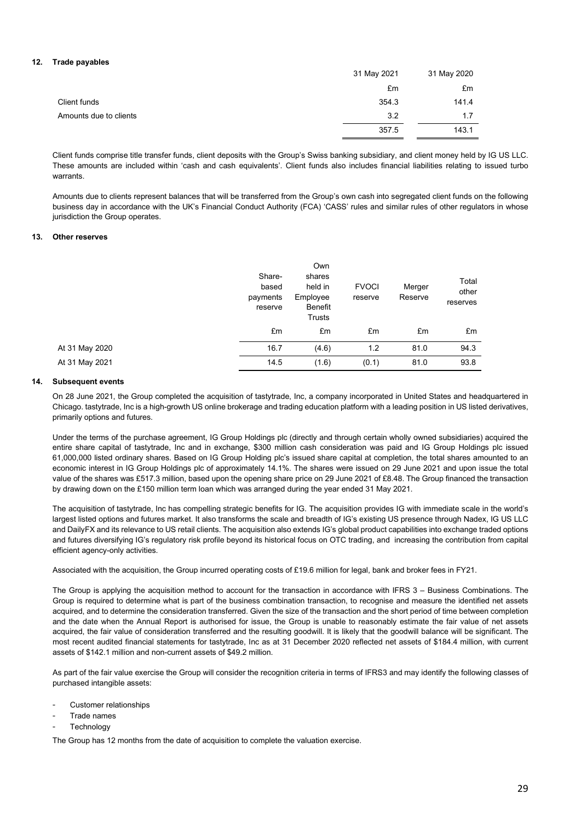### **12. Trade payables**

|                        | 31 May 2021 | 31 May 2020 |
|------------------------|-------------|-------------|
|                        | £m          | £m          |
| Client funds           | 354.3       | 141.4       |
| Amounts due to clients | 3.2         | 1.7         |
|                        | 357.5       | 143.1       |

Client funds comprise title transfer funds, client deposits with the Group's Swiss banking subsidiary, and client money held by IG US LLC. These amounts are included within 'cash and cash equivalents'. Client funds also includes financial liabilities relating to issued turbo warrants.

Amounts due to clients represent balances that will be transferred from the Group's own cash into segregated client funds on the following business day in accordance with the UK's Financial Conduct Authority (FCA) 'CASS' rules and similar rules of other regulators in whose jurisdiction the Group operates.

#### **13. Other reserves**

|                | Share-<br>based<br>payments<br>reserve | Own<br>shares<br>held in<br>Employee<br>Benefit<br>Trusts | <b>FVOCI</b><br>reserve | Merger<br>Reserve | Total<br>other<br>reserves |
|----------------|----------------------------------------|-----------------------------------------------------------|-------------------------|-------------------|----------------------------|
|                | £m                                     | £m                                                        | £m                      | £m                | £m                         |
| At 31 May 2020 | 16.7                                   | (4.6)                                                     | 1.2                     | 81.0              | 94.3                       |
| At 31 May 2021 | 14.5                                   | (1.6)                                                     | (0.1)                   | 81.0              | 93.8                       |

### **14. Subsequent events**

On 28 June 2021, the Group completed the acquisition of tastytrade, Inc, a company incorporated in United States and headquartered in Chicago. tastytrade, Inc is a high-growth US online brokerage and trading education platform with a leading position in US listed derivatives, primarily options and futures.

Under the terms of the purchase agreement, IG Group Holdings plc (directly and through certain wholly owned subsidiaries) acquired the entire share capital of tastytrade, Inc and in exchange, \$300 million cash consideration was paid and IG Group Holdings plc issued 61,000,000 listed ordinary shares. Based on IG Group Holding plc's issued share capital at completion, the total shares amounted to an economic interest in IG Group Holdings plc of approximately 14.1%. The shares were issued on 29 June 2021 and upon issue the total value of the shares was £517.3 million, based upon the opening share price on 29 June 2021 of £8.48. The Group financed the transaction by drawing down on the £150 million term loan which was arranged during the year ended 31 May 2021.

The acquisition of tastytrade, Inc has compelling strategic benefits for IG. The acquisition provides IG with immediate scale in the world's largest listed options and futures market. It also transforms the scale and breadth of IG's existing US presence through Nadex, IG US LLC and DailyFX and its relevance to US retail clients. The acquisition also extends IG's global product capabilities into exchange traded options and futures diversifying IG's regulatory risk profile beyond its historical focus on OTC trading, and increasing the contribution from capital efficient agency-only activities.

Associated with the acquisition, the Group incurred operating costs of £19.6 million for legal, bank and broker fees in FY21.

The Group is applying the acquisition method to account for the transaction in accordance with IFRS 3 – Business Combinations. The Group is required to determine what is part of the business combination transaction, to recognise and measure the identified net assets acquired, and to determine the consideration transferred. Given the size of the transaction and the short period of time between completion and the date when the Annual Report is authorised for issue, the Group is unable to reasonably estimate the fair value of net assets acquired, the fair value of consideration transferred and the resulting goodwill. It is likely that the goodwill balance will be significant. The most recent audited financial statements for tastytrade, Inc as at 31 December 2020 reflected net assets of \$184.4 million, with current assets of \$142.1 million and non-current assets of \$49.2 million.

As part of the fair value exercise the Group will consider the recognition criteria in terms of IFRS3 and may identify the following classes of purchased intangible assets:

- Customer relationships
- Trade names
- **Technology**

The Group has 12 months from the date of acquisition to complete the valuation exercise.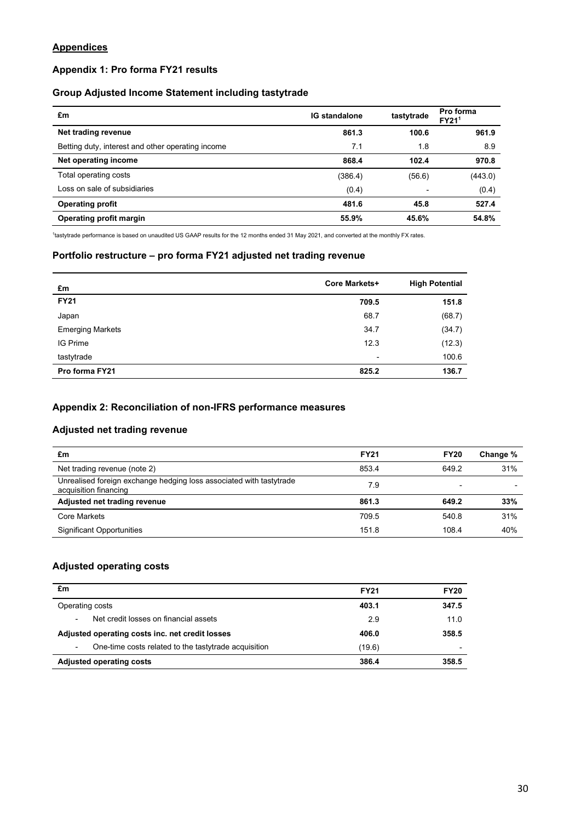## **Appendices**

## **Appendix 1: Pro forma FY21 results**

## **Group Adjusted Income Statement including tastytrade**

| £m                                                | <b>IG standalone</b> | tastytrade | Pro forma<br>FY21 <sup>1</sup> |
|---------------------------------------------------|----------------------|------------|--------------------------------|
| Net trading revenue                               | 861.3                | 100.6      | 961.9                          |
| Betting duty, interest and other operating income | 7.1                  | 1.8        | 8.9                            |
| Net operating income                              | 868.4                | 102.4      | 970.8                          |
| Total operating costs                             | (386.4)              | (56.6)     | (443.0)                        |
| Loss on sale of subsidiaries                      | (0.4)                | -          | (0.4)                          |
| <b>Operating profit</b>                           | 481.6                | 45.8       | 527.4                          |
| Operating profit margin                           | 55.9%                | 45.6%      | 54.8%                          |

1 tastytrade performance is based on unaudited US GAAP results for the 12 months ended 31 May 2021, and converted at the monthly FX rates.

## **Portfolio restructure – pro forma FY21 adjusted net trading revenue**

| £m                      | <b>Core Markets+</b> | <b>High Potential</b> |
|-------------------------|----------------------|-----------------------|
| <b>FY21</b>             | 709.5                | 151.8                 |
| Japan                   | 68.7                 | (68.7)                |
| <b>Emerging Markets</b> | 34.7                 | (34.7)                |
| <b>IG Prime</b>         | 12.3                 | (12.3)                |
| tastytrade              | ۰                    | 100.6                 |
| Pro forma FY21          | 825.2                | 136.7                 |

## **Appendix 2: Reconciliation of non-IFRS performance measures**

## **Adjusted net trading revenue**

| £m                                                                                           | <b>FY21</b> | <b>FY20</b> | Change % |
|----------------------------------------------------------------------------------------------|-------------|-------------|----------|
| Net trading revenue (note 2)                                                                 | 853.4       | 649.2       | 31%      |
| Unrealised foreign exchange hedging loss associated with tastytrade<br>acquisition financing | 7.9         | -           |          |
| Adjusted net trading revenue                                                                 | 861.3       | 649.2       | 33%      |
| Core Markets                                                                                 | 709.5       | 540.8       | 31%      |
| <b>Significant Opportunities</b>                                                             | 151.8       | 108.4       | 40%      |

## **Adjusted operating costs**

| £m                                                        | <b>FY21</b> | <b>FY20</b> |
|-----------------------------------------------------------|-------------|-------------|
| Operating costs                                           | 403.1       | 347.5       |
| Net credit losses on financial assets<br>٠                | 2.9         | 11.0        |
| Adjusted operating costs inc. net credit losses           | 406.0       | 358.5       |
| One-time costs related to the tastytrade acquisition<br>۰ | (19.6)      |             |
| <b>Adjusted operating costs</b>                           | 386.4       | 358.5       |